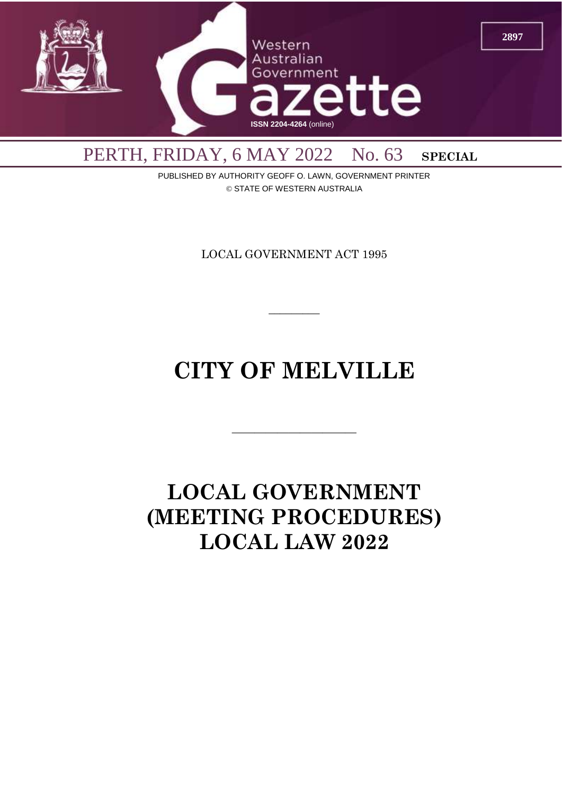

PUBLISHED BY AUTHORITY GEOFF O. LAWN, GOVERNMENT PRINTER © STATE OF WESTERN AUSTRALIA

LOCAL GOVERNMENT ACT 1995

 $\overline{\phantom{a}}$ 

# **CITY OF MELVILLE**

 $\overline{\phantom{a}}$  , and the contract of  $\overline{\phantom{a}}$ 

# **LOCAL GOVERNMENT (MEETING PROCEDURES) LOCAL LAW 2022**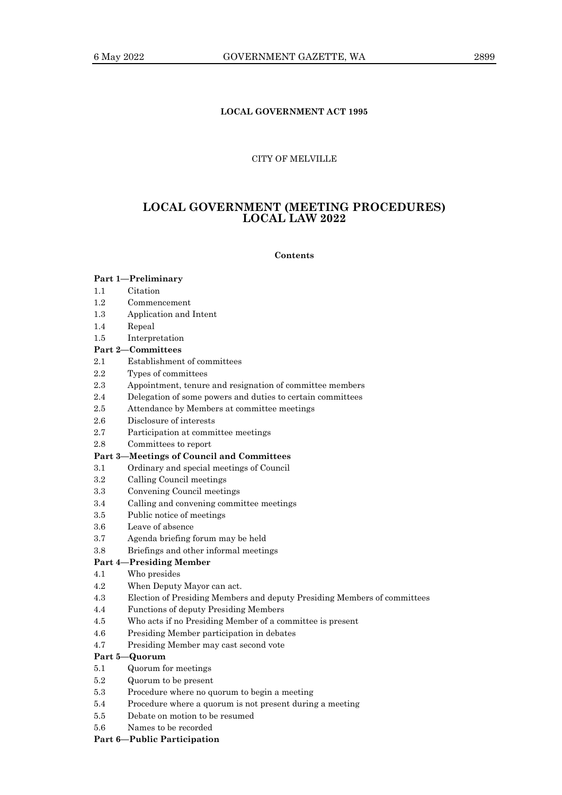## **LOCAL GOVERNMENT ACT 1995**

## CITY OF MELVILLE

# **LOCAL GOVERNMENT (MEETING PROCEDURES) LOCAL LAW 2022**

**Contents**

## **Part 1—Preliminary** 1.1 Citation

- 1.2 Commencement
- 1.3 Application and Intent
- 1.4 Repeal
- 1.5 Interpretation

## **Part 2—Committees**

- 2.1 Establishment of committees
- 2.2 Types of committees
- 2.3 Appointment, tenure and resignation of committee members
- 2.4 Delegation of some powers and duties to certain committees
- 2.5 Attendance by Members at committee meetings
- 2.6 Disclosure of interests
- 2.7 Participation at committee meetings
- 2.8 Committees to report

## **Part 3—Meetings of Council and Committees**

- 3.1 Ordinary and special meetings of Council
- 3.2 Calling Council meetings
- 3.3 Convening Council meetings
- 3.4 Calling and convening committee meetings
- 3.5 Public notice of meetings
- 3.6 Leave of absence
- 3.7 Agenda briefing forum may be held
- 3.8 Briefings and other informal meetings

# **Part 4—Presiding Member**

- 4.1 Who presides
- 4.2 When Deputy Mayor can act.
- 4.3 Election of Presiding Members and deputy Presiding Members of committees
- 4.4 Functions of deputy Presiding Members
- 4.5 Who acts if no Presiding Member of a committee is present
- 4.6 Presiding Member participation in debates
- 4.7 Presiding Member may cast second vote

## **Part 5—Quorum**

- 5.1 Quorum for meetings
- 5.2 Quorum to be present
- 5.3 Procedure where no quorum to begin a meeting
- 5.4 Procedure where a quorum is not present during a meeting
- 5.5 Debate on motion to be resumed
- 5.6 Names to be recorded

**Part 6—Public Participation**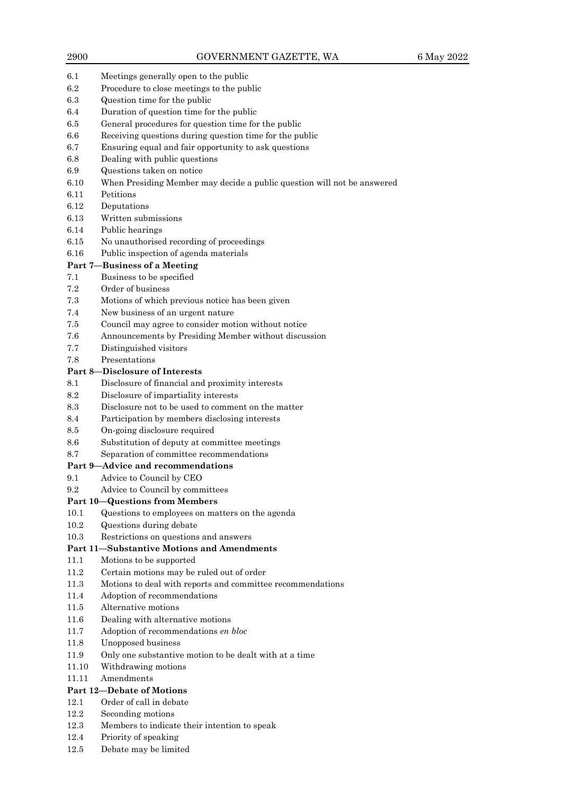- 6.1 Meetings generally open to the public
- 6.2 Procedure to close meetings to the public
- 6.3 Question time for the public
- 6.4 Duration of question time for the public
- 6.5 General procedures for question time for the public
- 6.6 Receiving questions during question time for the public
- 6.7 Ensuring equal and fair opportunity to ask questions
- 6.8 Dealing with public questions
- 6.9 Questions taken on notice
- 6.10 When Presiding Member may decide a public question will not be answered
- 6.11 Petitions
- 6.12 Deputations
- 6.13 Written submissions
- 6.14 Public hearings
- 6.15 No unauthorised recording of proceedings
- 6.16 Public inspection of agenda materials

# **Part 7—Business of a Meeting**

- 7.1 Business to be specified
- 7.2 Order of business
- 7.3 Motions of which previous notice has been given
- 7.4 New business of an urgent nature
- 7.5 Council may agree to consider motion without notice
- 7.6 Announcements by Presiding Member without discussion
- 7.7 Distinguished visitors
- 7.8 Presentations

## **Part 8—Disclosure of Interests**

- 8.1 Disclosure of financial and proximity interests
- 8.2 Disclosure of impartiality interests
- 8.3 Disclosure not to be used to comment on the matter
- 8.4 Participation by members disclosing interests
- 8.5 On-going disclosure required
- 8.6 Substitution of deputy at committee meetings
- 8.7 Separation of committee recommendations

#### **Part 9—Advice and recommendations**

- 9.1 Advice to Council by CEO
- 9.2 Advice to Council by committees

## **Part 10—Questions from Members**

- 10.1 Questions to employees on matters on the agenda
- 10.2 Questions during debate
- 10.3 Restrictions on questions and answers

## **Part 11—Substantive Motions and Amendments**

- 11.1 Motions to be supported
- 11.2 Certain motions may be ruled out of order
- 11.3 Motions to deal with reports and committee recommendations
- 11.4 Adoption of recommendations
- 11.5 Alternative motions
- 11.6 Dealing with alternative motions
- 11.7 Adoption of recommendations *en bloc*
- 11.8 Unopposed business
- 11.9 Only one substantive motion to be dealt with at a time
- 11.10 Withdrawing motions
- 11.11 Amendments

# **Part 12—Debate of Motions**

- 12.1 Order of call in debate
- 12.2 Seconding motions
- 12.3 Members to indicate their intention to speak
- 12.4 Priority of speaking
- 12.5 Debate may be limited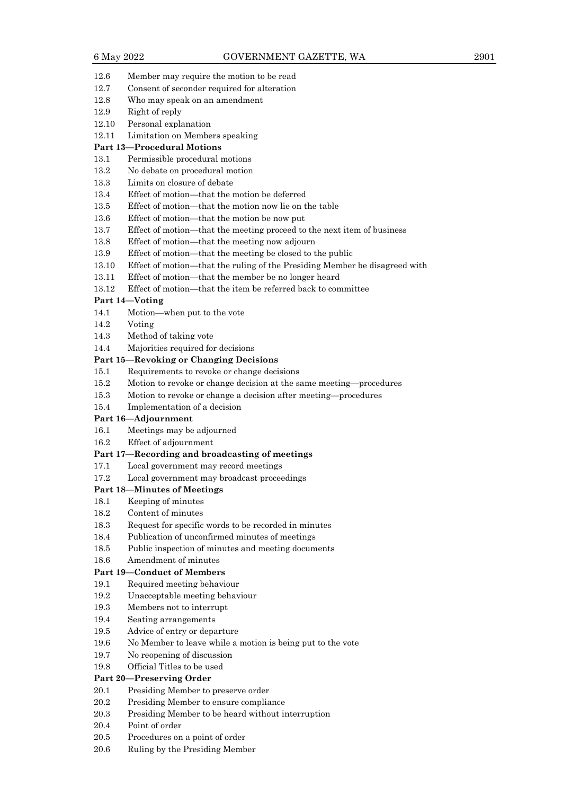- 12.6 Member may require the motion to be read
- 12.7 Consent of seconder required for alteration
- 12.8 Who may speak on an amendment
- 12.9 Right of reply
- 12.10 Personal explanation
- 12.11 Limitation on Members speaking

#### **Part 13—Procedural Motions**

- 13.1 Permissible procedural motions
- 13.2 No debate on procedural motion
- 13.3 Limits on closure of debate
- 13.4 Effect of motion—that the motion be deferred
- 13.5 Effect of motion—that the motion now lie on the table
- 13.6 Effect of motion—that the motion be now put
- 13.7 Effect of motion—that the meeting proceed to the next item of business
- 13.8 Effect of motion—that the meeting now adjourn
- 13.9 Effect of motion—that the meeting be closed to the public
- 13.10 Effect of motion—that the ruling of the Presiding Member be disagreed with
- 13.11 Effect of motion—that the member be no longer heard
- 13.12 Effect of motion—that the item be referred back to committee

#### **Part 14—Voting**

- 14.1 Motion—when put to the vote
- 14.2 Voting
- 14.3 Method of taking vote
- 14.4 Majorities required for decisions

#### **Part 15—Revoking or Changing Decisions**

- 15.1 Requirements to revoke or change decisions
- 15.2 Motion to revoke or change decision at the same meeting—procedures
- 15.3 Motion to revoke or change a decision after meeting—procedures
- 15.4 Implementation of a decision

#### **Part 16—Adjournment**

- 16.1 Meetings may be adjourned
- 16.2 Effect of adjournment

#### **Part 17—Recording and broadcasting of meetings**

- 17.1 Local government may record meetings
- 17.2 Local government may broadcast proceedings

## **Part 18—Minutes of Meetings**

- 18.1 Keeping of minutes
- 18.2 Content of minutes
- 18.3 Request for specific words to be recorded in minutes
- 18.4 Publication of unconfirmed minutes of meetings
- 18.5 Public inspection of minutes and meeting documents
- 18.6 Amendment of minutes

#### **Part 19—Conduct of Members**

- 19.1 Required meeting behaviour
- 19.2 Unacceptable meeting behaviour
- 19.3 Members not to interrupt
- 19.4 Seating arrangements
- 19.5 Advice of entry or departure
- 19.6 No Member to leave while a motion is being put to the vote
- 19.7 No reopening of discussion
- 19.8 Official Titles to be used

## **Part 20—Preserving Order**

- 20.1 Presiding Member to preserve order
- 20.2 Presiding Member to ensure compliance
- 20.3 Presiding Member to be heard without interruption
- 20.4 Point of order
- 20.5 Procedures on a point of order
- 20.6 Ruling by the Presiding Member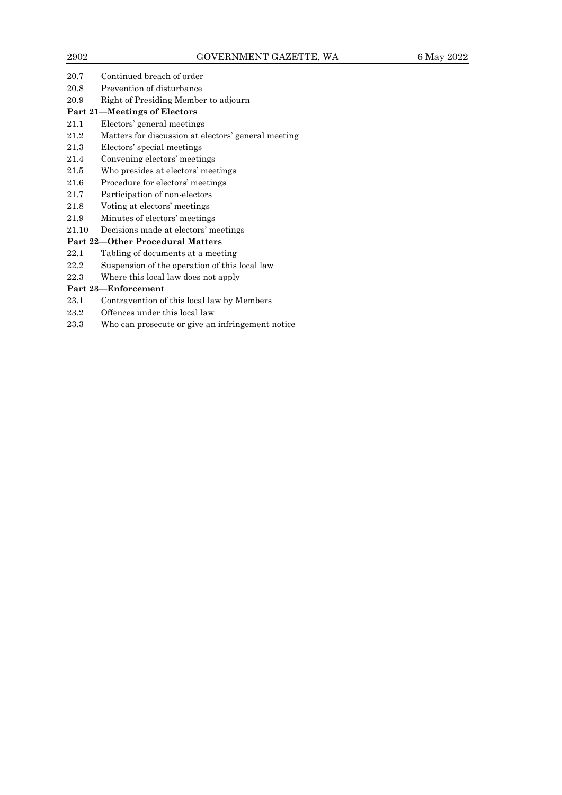20.7 Continued breach of order 20.8 Prevention of disturbance 20.9 Right of Presiding Member to adjourn

# **Part 21—Meetings of Electors**

- 21.1 Electors' general meetings
- 21.2 Matters for discussion at electors' general meeting
- 21.3 Electors' special meetings
- 21.4 Convening electors' meetings
- 21.5 Who presides at electors' meetings
- 21.6 Procedure for electors' meetings
- 21.7 Participation of non-electors
- 21.8 Voting at electors' meetings
- 21.9 Minutes of electors' meetings
- 21.10 Decisions made at electors' meetings

# **Part 22—Other Procedural Matters**

- 22.1 Tabling of documents at a meeting
- 22.2 Suspension of the operation of this local law
- 22.3 Where this local law does not apply

# **Part 23—Enforcement**

- 23.1 Contravention of this local law by Members
- 23.2 Offences under this local law
- 23.3 Who can prosecute or give an infringement notice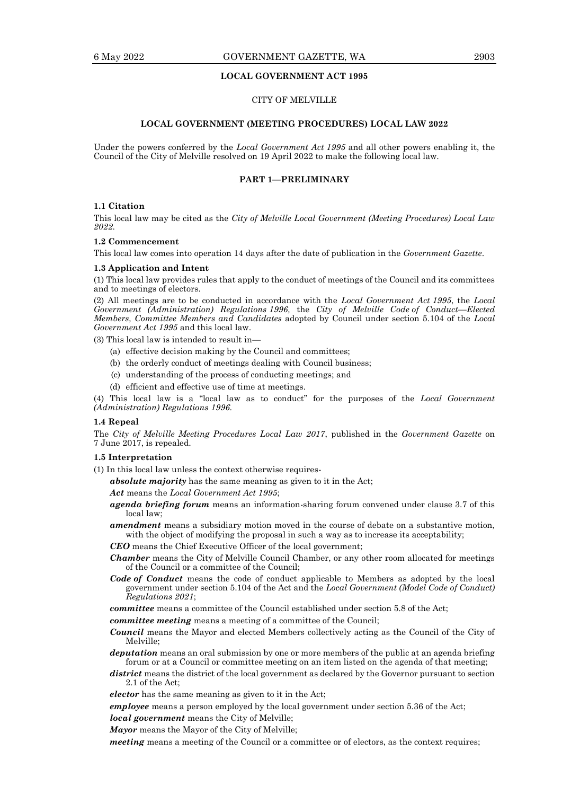## 6 May 2022 GOVERNMENT GAZETTE, WA 2903

## **LOCAL GOVERNMENT ACT 1995**

## CITY OF MELVILLE

#### **LOCAL GOVERNMENT (MEETING PROCEDURES) LOCAL LAW 2022**

Under the powers conferred by the *Local Government Act 1995* and all other powers enabling it, the Council of the City of Melville resolved on 19 April 2022 to make the following local law.

## **PART 1—PRELIMINARY**

#### **1.1 Citation**

This local law may be cited as the *City of Melville Local Government (Meeting Procedures) Local Law 2022*.

## **1.2 Commencement**

This local law comes into operation 14 days after the date of publication in the *Government Gazette*.

#### **1.3 Application and Intent**

(1) This local law provides rules that apply to the conduct of meetings of the Council and its committees and to meetings of electors.

(2) All meetings are to be conducted in accordance with the *Local Government Act 1995*, the *Local Government (Administration) Regulations 1996,* the *City of Melville Code of Conduct—Elected Members, Committee Members and Candidates* adopted by Council under section 5.104 of the *Local Government Act 1995* and this local law.

(3) This local law is intended to result in—

- (a) effective decision making by the Council and committees;
- (b) the orderly conduct of meetings dealing with Council business;
- (c) understanding of the process of conducting meetings; and
- (d) efficient and effective use of time at meetings.

(4) This local law is a "local law as to conduct" for the purposes of the *Local Government (Administration) Regulations 1996.*

#### **1.4 Repeal**

The *City of Melville Meeting Procedures Local Law 2017*, published in the *Government Gazette* on 7 June 2017, is repealed.

#### **1.5 Interpretation**

(1) In this local law unless the context otherwise requires-

*absolute majority* has the same meaning as given to it in the Act;

*Act* means the *Local Government Act 1995*;

- *agenda briefing forum* means an information-sharing forum convened under clause 3.7 of this local law;
- *amendment* means a subsidiary motion moved in the course of debate on a substantive motion, with the object of modifying the proposal in such a way as to increase its acceptability;

*CEO* means the Chief Executive Officer of the local government;

- *Chamber* means the City of Melville Council Chamber, or any other room allocated for meetings of the Council or a committee of the Council;
- *Code of Conduct* means the code of conduct applicable to Members as adopted by the local government under section 5.104 of the Act and the *Local Government (Model Code of Conduct) Regulations 2021*;
- *committee* means a committee of the Council established under section 5.8 of the Act;

*committee meeting* means a meeting of a committee of the Council;

*Council* means the Mayor and elected Members collectively acting as the Council of the City of Melville;

*deputation* means an oral submission by one or more members of the public at an agenda briefing forum or at a Council or committee meeting on an item listed on the agenda of that meeting;

district means the district of the local government as declared by the Governor pursuant to section 2.1 of the Act;

*elector* has the same meaning as given to it in the Act;

*employee* means a person employed by the local government under section 5.36 of the Act;

*local government* means the City of Melville;

*Mayor* means the Mayor of the City of Melville;

*meeting* means a meeting of the Council or a committee or of electors, as the context requires;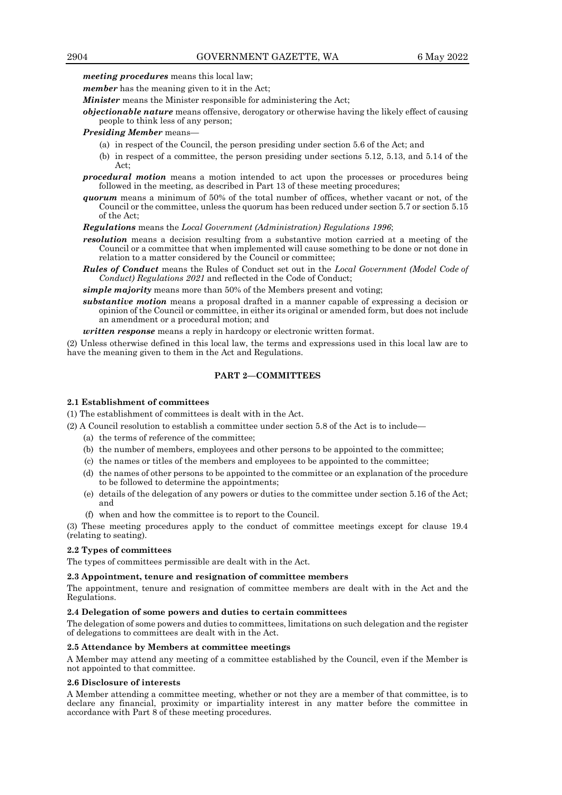*meeting procedures* means this local law;

*member* has the meaning given to it in the Act;

*Minister* means the Minister responsible for administering the Act;

*objectionable nature* means offensive, derogatory or otherwise having the likely effect of causing people to think less of any person;

#### *Presiding Member* means—

- (a) in respect of the Council, the person presiding under section 5.6 of the Act; and
- (b) in respect of a committee, the person presiding under sections 5.12, 5.13, and 5.14 of the Act;
- *procedural motion* means a motion intended to act upon the processes or procedures being followed in the meeting, as described in Part 13 of these meeting procedures;
- *quorum* means a minimum of 50% of the total number of offices, whether vacant or not, of the Council or the committee, unless the quorum has been reduced under section 5.7 or section 5.15 of the Act;

*Regulations* means the *Local Government (Administration) Regulations 1996*;

- *resolution* means a decision resulting from a substantive motion carried at a meeting of the Council or a committee that when implemented will cause something to be done or not done in relation to a matter considered by the Council or committee;
- *Rules of Conduct* means the Rules of Conduct set out in the *Local Government (Model Code of Conduct) Regulations 2021* and reflected in the Code of Conduct;

*simple majority* means more than 50% of the Members present and voting;

*substantive motion* means a proposal drafted in a manner capable of expressing a decision or opinion of the Council or committee, in either its original or amended form, but does not include an amendment or a procedural motion; and

*written response* means a reply in hardcopy or electronic written format*.*

(2) Unless otherwise defined in this local law, the terms and expressions used in this local law are to have the meaning given to them in the Act and Regulations.

## **PART 2—COMMITTEES**

#### **2.1 Establishment of committees**

(1) The establishment of committees is dealt with in the Act.

- (2) A Council resolution to establish a committee under section 5.8 of the Act is to include—
	- (a) the terms of reference of the committee;
	- (b) the number of members, employees and other persons to be appointed to the committee;
	- (c) the names or titles of the members and employees to be appointed to the committee;
	- (d) the names of other persons to be appointed to the committee or an explanation of the procedure to be followed to determine the appointments;
	- (e) details of the delegation of any powers or duties to the committee under section 5.16 of the Act; and
	- (f) when and how the committee is to report to the Council.

(3) These meeting procedures apply to the conduct of committee meetings except for clause 19.4 (relating to seating).

#### **2.2 Types of committees**

The types of committees permissible are dealt with in the Act.

#### **2.3 Appointment, tenure and resignation of committee members**

The appointment, tenure and resignation of committee members are dealt with in the Act and the Regulations.

#### **2.4 Delegation of some powers and duties to certain committees**

The delegation of some powers and duties to committees, limitations on such delegation and the register of delegations to committees are dealt with in the Act.

#### **2.5 Attendance by Members at committee meetings**

A Member may attend any meeting of a committee established by the Council, even if the Member is not appointed to that committee.

#### **2.6 Disclosure of interests**

A Member attending a committee meeting, whether or not they are a member of that committee, is to declare any financial, proximity or impartiality interest in any matter before the committee in accordance with Part 8 of these meeting procedures.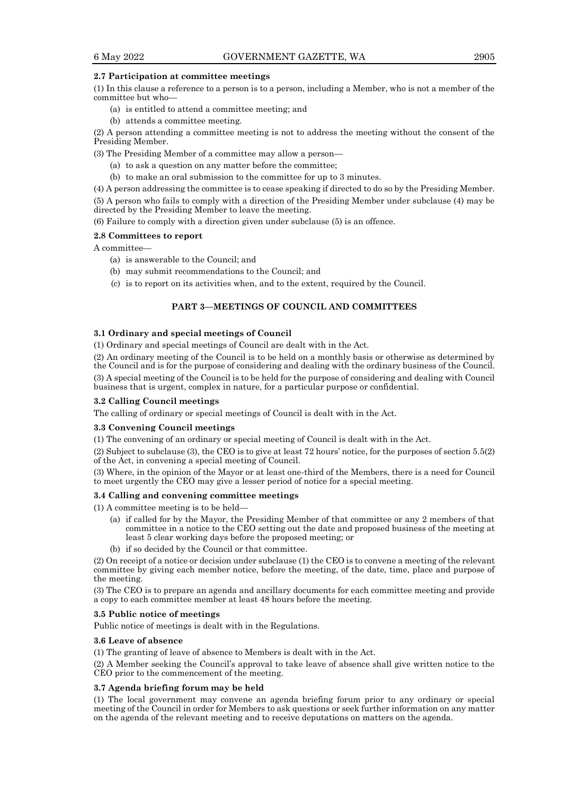## **2.7 Participation at committee meetings**

(1) In this clause a reference to a person is to a person, including a Member, who is not a member of the committee but who—

- (a) is entitled to attend a committee meeting; and
- (b) attends a committee meeting.

(2) A person attending a committee meeting is not to address the meeting without the consent of the Presiding Member.

(3) The Presiding Member of a committee may allow a person—

- (a) to ask a question on any matter before the committee;
- (b) to make an oral submission to the committee for up to 3 minutes.

(4) A person addressing the committee is to cease speaking if directed to do so by the Presiding Member. (5) A person who fails to comply with a direction of the Presiding Member under subclause (4) may be

directed by the Presiding Member to leave the meeting.

(6) Failure to comply with a direction given under subclause (5) is an offence.

## **2.8 Committees to report**

A committee—

- (a) is answerable to the Council; and
- (b) may submit recommendations to the Council; and
- (c) is to report on its activities when, and to the extent, required by the Council.

## **PART 3—MEETINGS OF COUNCIL AND COMMITTEES**

### **3.1 Ordinary and special meetings of Council**

(1) Ordinary and special meetings of Council are dealt with in the Act.

(2) An ordinary meeting of the Council is to be held on a monthly basis or otherwise as determined by the Council and is for the purpose of considering and dealing with the ordinary business of the Council.

(3) A special meeting of the Council is to be held for the purpose of considering and dealing with Council business that is urgent, complex in nature, for a particular purpose or confidential.

## **3.2 Calling Council meetings**

The calling of ordinary or special meetings of Council is dealt with in the Act.

# **3.3 Convening Council meetings**

(1) The convening of an ordinary or special meeting of Council is dealt with in the Act.

(2) Subject to subclause (3), the CEO is to give at least 72 hours' notice, for the purposes of section 5.5(2) of the Act, in convening a special meeting of Council.

(3) Where, in the opinion of the Mayor or at least one-third of the Members, there is a need for Council to meet urgently the CEO may give a lesser period of notice for a special meeting.

## **3.4 Calling and convening committee meetings**

(1) A committee meeting is to be held—

- (a) if called for by the Mayor, the Presiding Member of that committee or any 2 members of that committee in a notice to the CEO setting out the date and proposed business of the meeting at least 5 clear working days before the proposed meeting; or
- (b) if so decided by the Council or that committee.

(2) On receipt of a notice or decision under subclause (1) the CEO is to convene a meeting of the relevant committee by giving each member notice, before the meeting, of the date, time, place and purpose of the meeting.

(3) The CEO is to prepare an agenda and ancillary documents for each committee meeting and provide a copy to each committee member at least 48 hours before the meeting.

## **3.5 Public notice of meetings**

Public notice of meetings is dealt with in the Regulations.

#### **3.6 Leave of absence**

(1) The granting of leave of absence to Members is dealt with in the Act.

(2) A Member seeking the Council's approval to take leave of absence shall give written notice to the CEO prior to the commencement of the meeting.

#### **3.7 Agenda briefing forum may be held**

(1) The local government may convene an agenda briefing forum prior to any ordinary or special meeting of the Council in order for Members to ask questions or seek further information on any matter on the agenda of the relevant meeting and to receive deputations on matters on the agenda.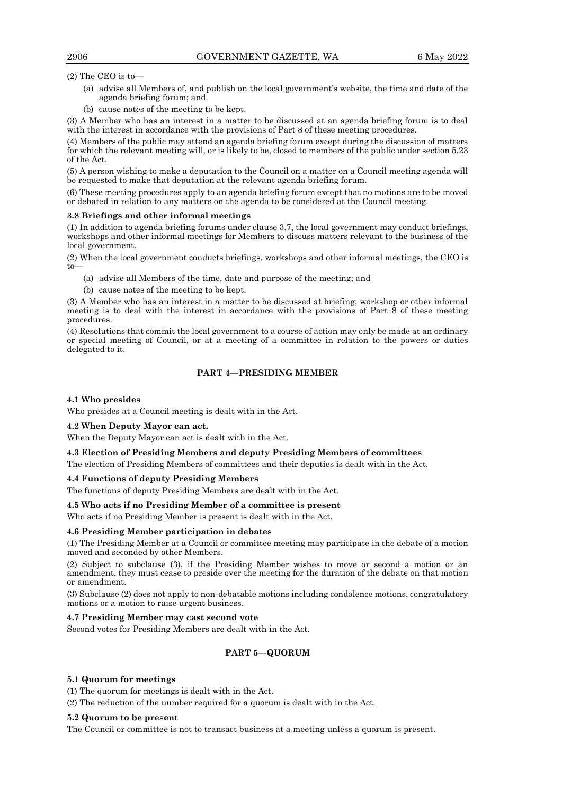(2) The CEO is to—

- (a) advise all Members of, and publish on the local government's website, the time and date of the agenda briefing forum; and
- (b) cause notes of the meeting to be kept.

(3) A Member who has an interest in a matter to be discussed at an agenda briefing forum is to deal with the interest in accordance with the provisions of Part 8 of these meeting procedures.

(4) Members of the public may attend an agenda briefing forum except during the discussion of matters for which the relevant meeting will, or is likely to be, closed to members of the public under section 5.23 of the Act.

(5) A person wishing to make a deputation to the Council on a matter on a Council meeting agenda will be requested to make that deputation at the relevant agenda briefing forum.

(6) These meeting procedures apply to an agenda briefing forum except that no motions are to be moved or debated in relation to any matters on the agenda to be considered at the Council meeting.

### **3.8 Briefings and other informal meetings**

(1) In addition to agenda briefing forums under clause 3.7, the local government may conduct briefings, workshops and other informal meetings for Members to discuss matters relevant to the business of the local government.

(2) When the local government conducts briefings, workshops and other informal meetings, the CEO is  $t_0$ 

- (a) advise all Members of the time, date and purpose of the meeting; and
- (b) cause notes of the meeting to be kept.

(3) A Member who has an interest in a matter to be discussed at briefing, workshop or other informal meeting is to deal with the interest in accordance with the provisions of Part  $\hat{8}$  of these meeting procedures.

(4) Resolutions that commit the local government to a course of action may only be made at an ordinary or special meeting of Council, or at a meeting of a committee in relation to the powers or duties delegated to it.

## **PART 4—PRESIDING MEMBER**

## **4.1 Who presides**

Who presides at a Council meeting is dealt with in the Act.

## **4.2 When Deputy Mayor can act.**

When the Deputy Mayor can act is dealt with in the Act.

## **4.3 Election of Presiding Members and deputy Presiding Members of committees**

The election of Presiding Members of committees and their deputies is dealt with in the Act.

## **4.4 Functions of deputy Presiding Members**

The functions of deputy Presiding Members are dealt with in the Act.

#### **4.5 Who acts if no Presiding Member of a committee is present**

Who acts if no Presiding Member is present is dealt with in the Act.

#### **4.6 Presiding Member participation in debates**

(1) The Presiding Member at a Council or committee meeting may participate in the debate of a motion moved and seconded by other Members.

(2) Subject to subclause (3), if the Presiding Member wishes to move or second a motion or an amendment, they must cease to preside over the meeting for the duration of the debate on that motion or amendment.

(3) Subclause (2) does not apply to non-debatable motions including condolence motions, congratulatory motions or a motion to raise urgent business.

#### **4.7 Presiding Member may cast second vote**

Second votes for Presiding Members are dealt with in the Act.

## **PART 5—QUORUM**

## **5.1 Quorum for meetings**

(1) The quorum for meetings is dealt with in the Act.

(2) The reduction of the number required for a quorum is dealt with in the Act.

#### **5.2 Quorum to be present**

The Council or committee is not to transact business at a meeting unless a quorum is present.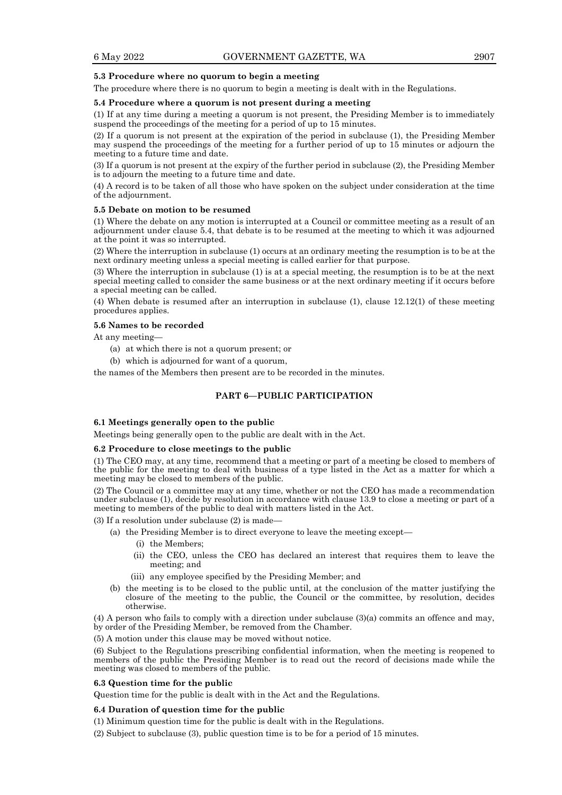## **5.3 Procedure where no quorum to begin a meeting**

The procedure where there is no quorum to begin a meeting is dealt with in the Regulations.

#### **5.4 Procedure where a quorum is not present during a meeting**

(1) If at any time during a meeting a quorum is not present, the Presiding Member is to immediately suspend the proceedings of the meeting for a period of up to 15 minutes.

(2) If a quorum is not present at the expiration of the period in subclause (1), the Presiding Member may suspend the proceedings of the meeting for a further period of up to 15 minutes or adjourn the meeting to a future time and date.

(3) If a quorum is not present at the expiry of the further period in subclause (2), the Presiding Member is to adjourn the meeting to a future time and date.

(4) A record is to be taken of all those who have spoken on the subject under consideration at the time of the adjournment.

#### **5.5 Debate on motion to be resumed**

(1) Where the debate on any motion is interrupted at a Council or committee meeting as a result of an adjournment under clause 5.4, that debate is to be resumed at the meeting to which it was adjourned at the point it was so interrupted.

(2) Where the interruption in subclause (1) occurs at an ordinary meeting the resumption is to be at the next ordinary meeting unless a special meeting is called earlier for that purpose.

(3) Where the interruption in subclause (1) is at a special meeting, the resumption is to be at the next special meeting called to consider the same business or at the next ordinary meeting if it occurs before a special meeting can be called.

(4) When debate is resumed after an interruption in subclause (1), clause 12.12(1) of these meeting procedures applies.

#### **5.6 Names to be recorded**

At any meeting—

- (a) at which there is not a quorum present; or
- (b) which is adjourned for want of a quorum,

the names of the Members then present are to be recorded in the minutes.

## **PART 6—PUBLIC PARTICIPATION**

#### **6.1 Meetings generally open to the public**

Meetings being generally open to the public are dealt with in the Act.

## **6.2 Procedure to close meetings to the public**

(1) The CEO may, at any time, recommend that a meeting or part of a meeting be closed to members of the public for the meeting to deal with business of a type listed in the Act as a matter for which a meeting may be closed to members of the public.

(2) The Council or a committee may at any time, whether or not the CEO has made a recommendation under subclause (1), decide by resolution in accordance with clause 13.9 to close a meeting or part of a meeting to members of the public to deal with matters listed in the Act.

(3) If a resolution under subclause (2) is made—

- (a) the Presiding Member is to direct everyone to leave the meeting except—
	- (i) the Members;
	- (ii) the CEO, unless the CEO has declared an interest that requires them to leave the meeting; and
	- (iii) any employee specified by the Presiding Member; and
- (b) the meeting is to be closed to the public until, at the conclusion of the matter justifying the closure of the meeting to the public, the Council or the committee, by resolution, decides otherwise.

(4) A person who fails to comply with a direction under subclause (3)(a) commits an offence and may, by order of the Presiding Member, be removed from the Chamber.

(5) A motion under this clause may be moved without notice.

(6) Subject to the Regulations prescribing confidential information, when the meeting is reopened to members of the public the Presiding Member is to read out the record of decisions made while the meeting was closed to members of the public.

#### **6.3 Question time for the public**

Question time for the public is dealt with in the Act and the Regulations.

## **6.4 Duration of question time for the public**

- (1) Minimum question time for the public is dealt with in the Regulations.
- (2) Subject to subclause (3), public question time is to be for a period of 15 minutes.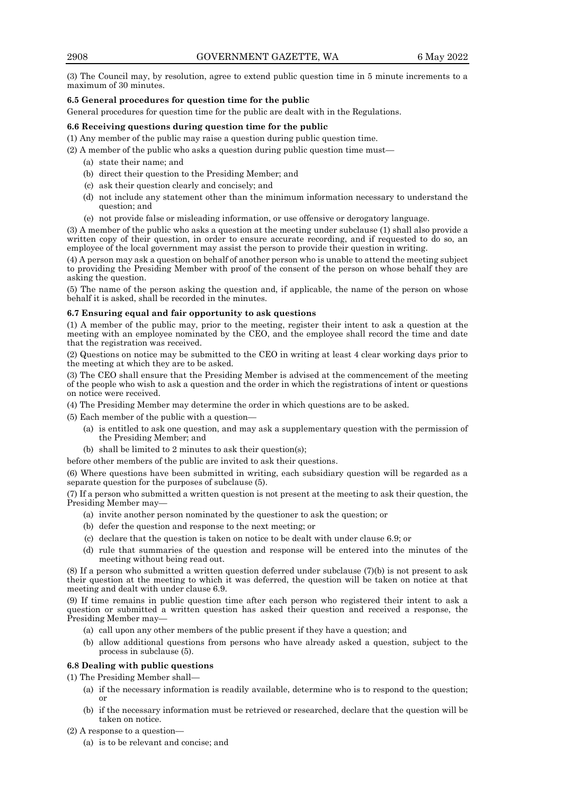(3) The Council may, by resolution, agree to extend public question time in 5 minute increments to a maximum of 30 minutes.

# **6.5 General procedures for question time for the public**

General procedures for question time for the public are dealt with in the Regulations.

### **6.6 Receiving questions during question time for the public**

(1) Any member of the public may raise a question during public question time.

- (2) A member of the public who asks a question during public question time must—
	- (a) state their name; and
	- (b) direct their question to the Presiding Member; and
	- (c) ask their question clearly and concisely; and
	- (d) not include any statement other than the minimum information necessary to understand the question; and
	- (e) not provide false or misleading information, or use offensive or derogatory language.

(3) A member of the public who asks a question at the meeting under subclause (1) shall also provide a written copy of their question, in order to ensure accurate recording, and if requested to do so, an employee of the local government may assist the person to provide their question in writing.

(4) A person may ask a question on behalf of another person who is unable to attend the meeting subject to providing the Presiding Member with proof of the consent of the person on whose behalf they are asking the question.

(5) The name of the person asking the question and, if applicable, the name of the person on whose behalf it is asked, shall be recorded in the minutes.

## **6.7 Ensuring equal and fair opportunity to ask questions**

(1) A member of the public may, prior to the meeting, register their intent to ask a question at the meeting with an employee nominated by the CEO, and the employee shall record the time and date that the registration was received.

(2) Questions on notice may be submitted to the CEO in writing at least 4 clear working days prior to the meeting at which they are to be asked.

(3) The CEO shall ensure that the Presiding Member is advised at the commencement of the meeting of the people who wish to ask a question and the order in which the registrations of intent or questions on notice were received.

(4) The Presiding Member may determine the order in which questions are to be asked.

(5) Each member of the public with a question—

- (a) is entitled to ask one question, and may ask a supplementary question with the permission of the Presiding Member; and
- (b) shall be limited to 2 minutes to ask their question(s);

before other members of the public are invited to ask their questions.

(6) Where questions have been submitted in writing, each subsidiary question will be regarded as a separate question for the purposes of subclause (5).

(7) If a person who submitted a written question is not present at the meeting to ask their question, the Presiding Member may—

- (a) invite another person nominated by the questioner to ask the question; or
- (b) defer the question and response to the next meeting; or
- (c) declare that the question is taken on notice to be dealt with under clause 6.9; or
- (d) rule that summaries of the question and response will be entered into the minutes of the meeting without being read out.

(8) If a person who submitted a written question deferred under subclause (7)(b) is not present to ask their question at the meeting to which it was deferred, the question will be taken on notice at that meeting and dealt with under clause 6.9.

(9) If time remains in public question time after each person who registered their intent to ask a question or submitted a written question has asked their question and received a response, the Presiding Member may—

- (a) call upon any other members of the public present if they have a question; and
- (b) allow additional questions from persons who have already asked a question, subject to the process in subclause (5).

## **6.8 Dealing with public questions**

(1) The Presiding Member shall—

- (a) if the necessary information is readily available, determine who is to respond to the question; or
- (b) if the necessary information must be retrieved or researched, declare that the question will be taken on notice.
- (2) A response to a question—
	- (a) is to be relevant and concise; and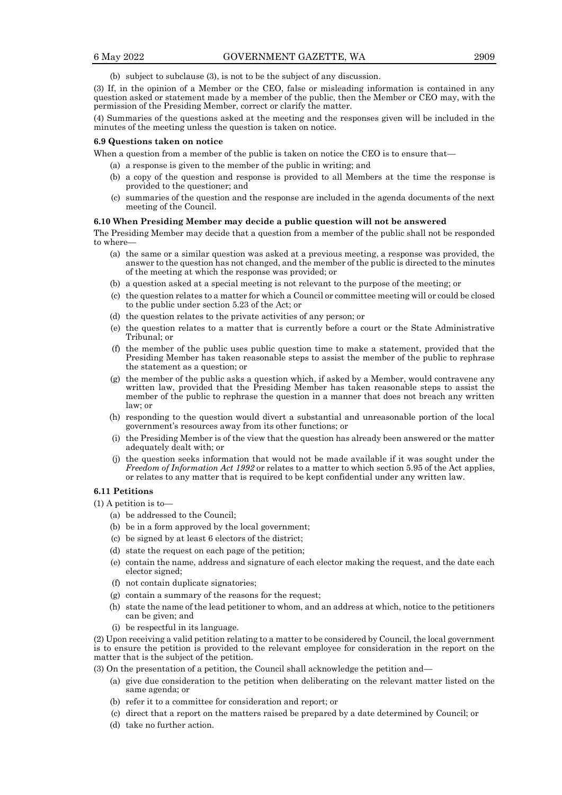(b) subject to subclause (3), is not to be the subject of any discussion.

(3) If, in the opinion of a Member or the CEO, false or misleading information is contained in any question asked or statement made by a member of the public, then the Member or CEO may, with the permission of the Presiding Member, correct or clarify the matter.

(4) Summaries of the questions asked at the meeting and the responses given will be included in the minutes of the meeting unless the question is taken on notice.

#### **6.9 Questions taken on notice**

When a question from a member of the public is taken on notice the CEO is to ensure that—

- (a) a response is given to the member of the public in writing; and
- (b) a copy of the question and response is provided to all Members at the time the response is provided to the questioner; and
- (c) summaries of the question and the response are included in the agenda documents of the next meeting of the Council.

#### **6.10 When Presiding Member may decide a public question will not be answered**

The Presiding Member may decide that a question from a member of the public shall not be responded to where-

- (a) the same or a similar question was asked at a previous meeting, a response was provided, the answer to the question has not changed, and the member of the public is directed to the minutes of the meeting at which the response was provided; or
- (b) a question asked at a special meeting is not relevant to the purpose of the meeting; or
- (c) the question relates to a matter for which a Council or committee meeting will or could be closed to the public under section 5.23 of the Act; or
- (d) the question relates to the private activities of any person; or
- (e) the question relates to a matter that is currently before a court or the State Administrative Tribunal; or
- (f) the member of the public uses public question time to make a statement, provided that the Presiding Member has taken reasonable steps to assist the member of the public to rephrase the statement as a question; or
- (g) the member of the public asks a question which, if asked by a Member, would contravene any written law, provided that the Presiding Member has taken reasonable steps to assist the member of the public to rephrase the question in a manner that does not breach any written law; or
- (h) responding to the question would divert a substantial and unreasonable portion of the local government's resources away from its other functions; or
- (i) the Presiding Member is of the view that the question has already been answered or the matter adequately dealt with; or
- (j) the question seeks information that would not be made available if it was sought under the *Freedom of Information Act 1992* or relates to a matter to which section 5.95 of the Act applies, or relates to any matter that is required to be kept confidential under any written law.

#### **6.11 Petitions**

(1) A petition is to—

- (a) be addressed to the Council;
- (b) be in a form approved by the local government;
- (c) be signed by at least 6 electors of the district;
- (d) state the request on each page of the petition;
- (e) contain the name, address and signature of each elector making the request, and the date each elector signed;
- (f) not contain duplicate signatories;
- (g) contain a summary of the reasons for the request;
- (h) state the name of the lead petitioner to whom, and an address at which, notice to the petitioners can be given; and
- (i) be respectful in its language.

(2) Upon receiving a valid petition relating to a matter to be considered by Council, the local government is to ensure the petition is provided to the relevant employee for consideration in the report on the matter that is the subject of the petition.

(3) On the presentation of a petition, the Council shall acknowledge the petition and—

- (a) give due consideration to the petition when deliberating on the relevant matter listed on the same agenda; or
- (b) refer it to a committee for consideration and report; or
- (c) direct that a report on the matters raised be prepared by a date determined by Council; or
- (d) take no further action.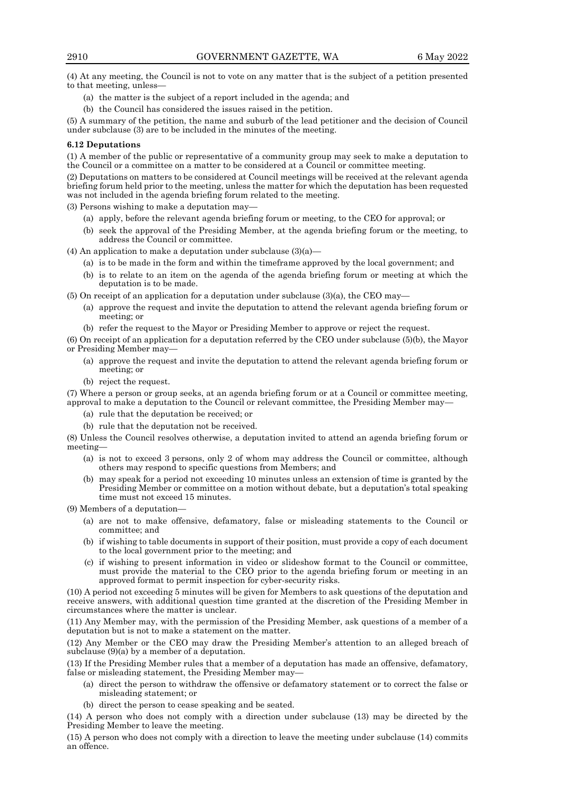(4) At any meeting, the Council is not to vote on any matter that is the subject of a petition presented to that meeting, unless—

- (a) the matter is the subject of a report included in the agenda; and
- (b) the Council has considered the issues raised in the petition.

(5) A summary of the petition, the name and suburb of the lead petitioner and the decision of Council under subclause (3) are to be included in the minutes of the meeting.

#### **6.12 Deputations**

(1) A member of the public or representative of a community group may seek to make a deputation to the Council or a committee on a matter to be considered at a Council or committee meeting.

(2) Deputations on matters to be considered at Council meetings will be received at the relevant agenda briefing forum held prior to the meeting, unless the matter for which the deputation has been requested was not included in the agenda briefing forum related to the meeting.

(3) Persons wishing to make a deputation may—

- (a) apply, before the relevant agenda briefing forum or meeting, to the CEO for approval; or
- (b) seek the approval of the Presiding Member, at the agenda briefing forum or the meeting, to address the Council or committee.

(4) An application to make a deputation under subclause  $(3)(a)$ —

- (a) is to be made in the form and within the timeframe approved by the local government; and
- (b) is to relate to an item on the agenda of the agenda briefing forum or meeting at which the deputation is to be made.
- (5) On receipt of an application for a deputation under subclause (3)(a), the CEO may—
	- (a) approve the request and invite the deputation to attend the relevant agenda briefing forum or meeting; or

(b) refer the request to the Mayor or Presiding Member to approve or reject the request.

(6) On receipt of an application for a deputation referred by the CEO under subclause (5)(b), the Mayor or Presiding Member may—

- (a) approve the request and invite the deputation to attend the relevant agenda briefing forum or meeting; or
- (b) reject the request.

(7) Where a person or group seeks, at an agenda briefing forum or at a Council or committee meeting, approval to make a deputation to the Council or relevant committee, the Presiding Member may—

- (a) rule that the deputation be received; or
- (b) rule that the deputation not be received.

(8) Unless the Council resolves otherwise, a deputation invited to attend an agenda briefing forum or meeting—

- (a) is not to exceed 3 persons, only 2 of whom may address the Council or committee, although others may respond to specific questions from Members; and
- (b) may speak for a period not exceeding 10 minutes unless an extension of time is granted by the Presiding Member or committee on a motion without debate, but a deputation's total speaking time must not exceed 15 minutes.

(9) Members of a deputation—

- (a) are not to make offensive, defamatory, false or misleading statements to the Council or committee; and
- (b) if wishing to table documents in support of their position, must provide a copy of each document to the local government prior to the meeting; and
- (c) if wishing to present information in video or slideshow format to the Council or committee, must provide the material to the CEO prior to the agenda briefing forum or meeting in an approved format to permit inspection for cyber-security risks.

(10) A period not exceeding 5 minutes will be given for Members to ask questions of the deputation and receive answers, with additional question time granted at the discretion of the Presiding Member in circumstances where the matter is unclear.

(11) Any Member may, with the permission of the Presiding Member, ask questions of a member of a deputation but is not to make a statement on the matter.

(12) Any Member or the CEO may draw the Presiding Member's attention to an alleged breach of subclause (9)(a) by a member of a deputation.

(13) If the Presiding Member rules that a member of a deputation has made an offensive, defamatory, false or misleading statement, the Presiding Member may—

- (a) direct the person to withdraw the offensive or defamatory statement or to correct the false or misleading statement; or
- (b) direct the person to cease speaking and be seated.

(14) A person who does not comply with a direction under subclause (13) may be directed by the Presiding Member to leave the meeting.

(15) A person who does not comply with a direction to leave the meeting under subclause (14) commits an offence.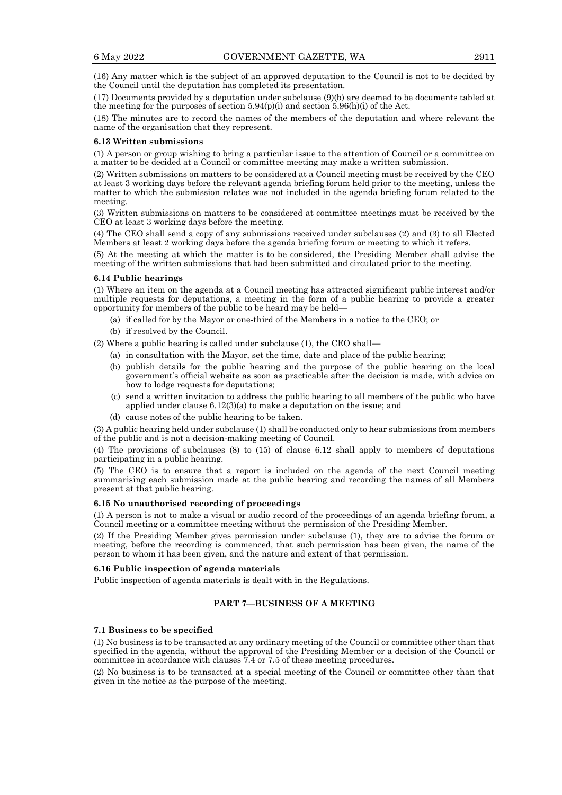(16) Any matter which is the subject of an approved deputation to the Council is not to be decided by the Council until the deputation has completed its presentation.

(17) Documents provided by a deputation under subclause (9)(b) are deemed to be documents tabled at the meeting for the purposes of section  $5.94(p)(i)$  and section  $5.96(h)(i)$  of the Act.

(18) The minutes are to record the names of the members of the deputation and where relevant the name of the organisation that they represent.

#### **6.13 Written submissions**

(1) A person or group wishing to bring a particular issue to the attention of Council or a committee on a matter to be decided at a Council or committee meeting may make a written submission.

(2) Written submissions on matters to be considered at a Council meeting must be received by the CEO at least 3 working days before the relevant agenda briefing forum held prior to the meeting, unless the matter to which the submission relates was not included in the agenda briefing forum related to the meeting.

(3) Written submissions on matters to be considered at committee meetings must be received by the CEO at least 3 working days before the meeting.

(4) The CEO shall send a copy of any submissions received under subclauses (2) and (3) to all Elected Members at least 2 working days before the agenda briefing forum or meeting to which it refers.

(5) At the meeting at which the matter is to be considered, the Presiding Member shall advise the meeting of the written submissions that had been submitted and circulated prior to the meeting.

#### **6.14 Public hearings**

(1) Where an item on the agenda at a Council meeting has attracted significant public interest and/or multiple requests for deputations, a meeting in the form of a public hearing to provide a greater opportunity for members of the public to be heard may be held—

- (a) if called for by the Mayor or one-third of the Members in a notice to the CEO; or
- (b) if resolved by the Council.

(2) Where a public hearing is called under subclause (1), the CEO shall—

- (a) in consultation with the Mayor, set the time, date and place of the public hearing;
- (b) publish details for the public hearing and the purpose of the public hearing on the local government's official website as soon as practicable after the decision is made, with advice on how to lodge requests for deputations;
- (c) send a written invitation to address the public hearing to all members of the public who have applied under clause 6.12(3)(a) to make a deputation on the issue; and
- (d) cause notes of the public hearing to be taken.

(3) A public hearing held under subclause (1) shall be conducted only to hear submissions from members of the public and is not a decision-making meeting of Council.

(4) The provisions of subclauses (8) to (15) of clause 6.12 shall apply to members of deputations participating in a public hearing.

(5) The CEO is to ensure that a report is included on the agenda of the next Council meeting summarising each submission made at the public hearing and recording the names of all Members present at that public hearing.

#### **6.15 No unauthorised recording of proceedings**

(1) A person is not to make a visual or audio record of the proceedings of an agenda briefing forum, a Council meeting or a committee meeting without the permission of the Presiding Member.

(2) If the Presiding Member gives permission under subclause (1), they are to advise the forum or meeting, before the recording is commenced, that such permission has been given, the name of the person to whom it has been given, and the nature and extent of that permission.

#### **6.16 Public inspection of agenda materials**

Public inspection of agenda materials is dealt with in the Regulations.

## **PART 7—BUSINESS OF A MEETING**

#### **7.1 Business to be specified**

(1) No business is to be transacted at any ordinary meeting of the Council or committee other than that specified in the agenda, without the approval of the Presiding Member or a decision of the Council or committee in accordance with clauses 7.4 or 7.5 of these meeting procedures.

(2) No business is to be transacted at a special meeting of the Council or committee other than that given in the notice as the purpose of the meeting.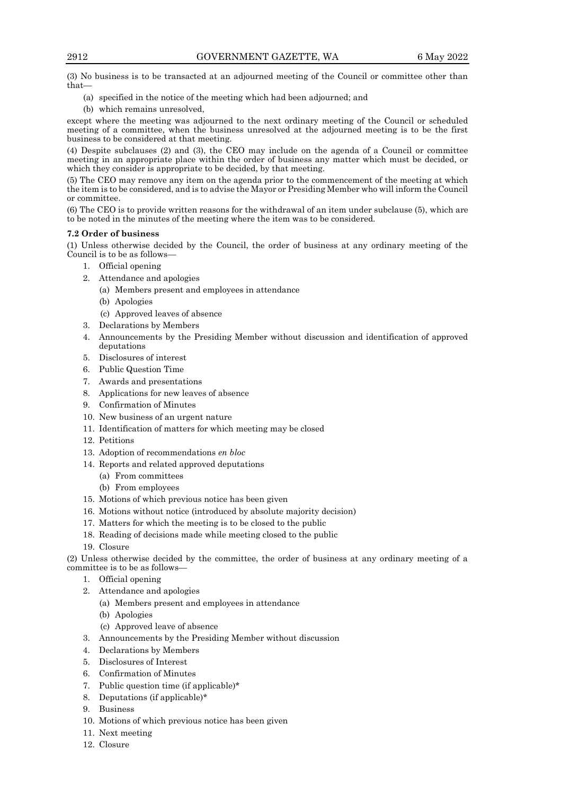(3) No business is to be transacted at an adjourned meeting of the Council or committee other than that—

- (a) specified in the notice of the meeting which had been adjourned; and
- (b) which remains unresolved,

except where the meeting was adjourned to the next ordinary meeting of the Council or scheduled meeting of a committee, when the business unresolved at the adjourned meeting is to be the first business to be considered at that meeting.

(4) Despite subclauses (2) and (3), the CEO may include on the agenda of a Council or committee meeting in an appropriate place within the order of business any matter which must be decided, or which they consider is appropriate to be decided, by that meeting.

(5) The CEO may remove any item on the agenda prior to the commencement of the meeting at which the item is to be considered, and is to advise the Mayor or Presiding Member who will inform the Council or committee.

(6) The CEO is to provide written reasons for the withdrawal of an item under subclause (5), which are to be noted in the minutes of the meeting where the item was to be considered.

## **7.2 Order of business**

(1) Unless otherwise decided by the Council, the order of business at any ordinary meeting of the Council is to be as follows—

- 1. Official opening
- 2. Attendance and apologies
	- (a) Members present and employees in attendance
	- (b) Apologies
	- (c) Approved leaves of absence
- 3. Declarations by Members
- 4. Announcements by the Presiding Member without discussion and identification of approved deputations
- 5. Disclosures of interest
- 6. Public Question Time
- 7. Awards and presentations
- 8. Applications for new leaves of absence
- 9. Confirmation of Minutes
- 10. New business of an urgent nature
- 11. Identification of matters for which meeting may be closed
- 12. Petitions
- 13. Adoption of recommendations *en bloc*
- 14. Reports and related approved deputations
	- (a) From committees
	- (b) From employees
- 15. Motions of which previous notice has been given
- 16. Motions without notice (introduced by absolute majority decision)
- 17. Matters for which the meeting is to be closed to the public
- 18. Reading of decisions made while meeting closed to the public
- 19. Closure

(2) Unless otherwise decided by the committee, the order of business at any ordinary meeting of a committee is to be as follows—

- 1. Official opening
- 2. Attendance and apologies
	- (a) Members present and employees in attendance
	- (b) Apologies
	- (c) Approved leave of absence
- 3. Announcements by the Presiding Member without discussion
- 4. Declarations by Members
- 5. Disclosures of Interest
- 6. Confirmation of Minutes
- 7. Public question time (if applicable)\*
- 8. Deputations (if applicable)\*
- 9. Business
- 10. Motions of which previous notice has been given
- 11. Next meeting
- 12. Closure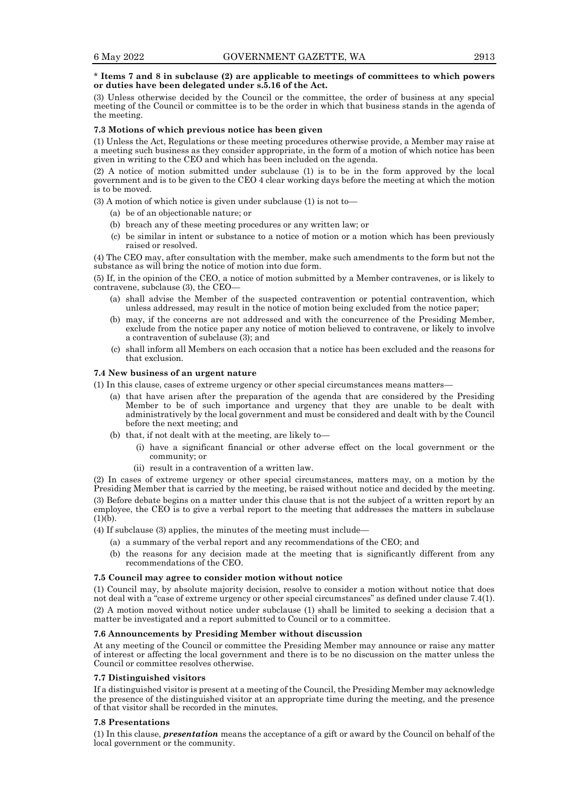## \* **Items 7 and 8 in subclause (2) are applicable to meetings of committees to which powers or duties have been delegated under s.5.16 of the Act.**

(3) Unless otherwise decided by the Council or the committee, the order of business at any special meeting of the Council or committee is to be the order in which that business stands in the agenda of the meeting.

## **7.3 Motions of which previous notice has been given**

(1) Unless the Act, Regulations or these meeting procedures otherwise provide, a Member may raise at a meeting such business as they consider appropriate, in the form of a motion of which notice has been given in writing to the CEO and which has been included on the agenda.

(2) A notice of motion submitted under subclause (1) is to be in the form approved by the local government and is to be given to the CEO 4 clear working days before the meeting at which the motion is to be moved.

(3) A motion of which notice is given under subclause (1) is not to—

- (a) be of an objectionable nature; or
- (b) breach any of these meeting procedures or any written law; or
- (c) be similar in intent or substance to a notice of motion or a motion which has been previously raised or resolved.

(4) The CEO may, after consultation with the member, make such amendments to the form but not the substance as will bring the notice of motion into due form.

(5) If, in the opinion of the CEO, a notice of motion submitted by a Member contravenes, or is likely to contravene, subclause (3), the CEO—

- (a) shall advise the Member of the suspected contravention or potential contravention, which unless addressed, may result in the notice of motion being excluded from the notice paper;
- (b) may, if the concerns are not addressed and with the concurrence of the Presiding Member, exclude from the notice paper any notice of motion believed to contravene, or likely to involve a contravention of subclause (3); and
- (c) shall inform all Members on each occasion that a notice has been excluded and the reasons for that exclusion.

#### **7.4 New business of an urgent nature**

(1) In this clause, cases of extreme urgency or other special circumstances means matters—

- (a) that have arisen after the preparation of the agenda that are considered by the Presiding Member to be of such importance and urgency that they are unable to be dealt with administratively by the local government and must be considered and dealt with by the Council before the next meeting; and
- (b) that, if not dealt with at the meeting, are likely to—
	- (i) have a significant financial or other adverse effect on the local government or the community; or
	- (ii) result in a contravention of a written law.

(2) In cases of extreme urgency or other special circumstances, matters may, on a motion by the Presiding Member that is carried by the meeting, be raised without notice and decided by the meeting. (3) Before debate begins on a matter under this clause that is not the subject of a written report by an employee, the CEO is to give a verbal report to the meeting that addresses the matters in subclause  $(1)(b)$ .

(4) If subclause (3) applies, the minutes of the meeting must include—

- (a) a summary of the verbal report and any recommendations of the CEO; and
- (b) the reasons for any decision made at the meeting that is significantly different from any recommendations of the CEO.

#### **7.5 Council may agree to consider motion without notice**

(1) Council may, by absolute majority decision, resolve to consider a motion without notice that does not deal with a "case of extreme urgency or other special circumstances" as defined under clause 7.4(1). (2) A motion moved without notice under subclause (1) shall be limited to seeking a decision that a matter be investigated and a report submitted to Council or to a committee.

## **7.6 Announcements by Presiding Member without discussion**

At any meeting of the Council or committee the Presiding Member may announce or raise any matter of interest or affecting the local government and there is to be no discussion on the matter unless the Council or committee resolves otherwise.

#### **7.7 Distinguished visitors**

If a distinguished visitor is present at a meeting of the Council, the Presiding Member may acknowledge the presence of the distinguished visitor at an appropriate time during the meeting, and the presence of that visitor shall be recorded in the minutes.

#### **7.8 Presentations**

(1) In this clause, *presentation* means the acceptance of a gift or award by the Council on behalf of the local government or the community.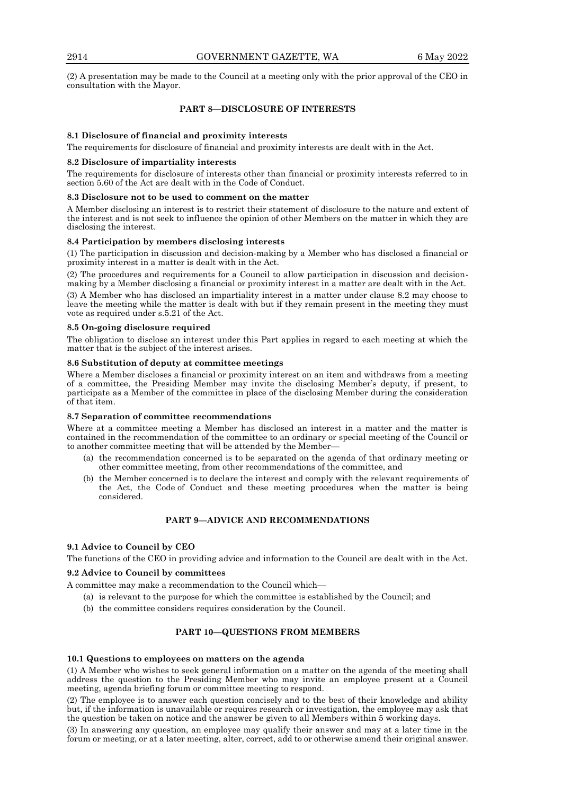(2) A presentation may be made to the Council at a meeting only with the prior approval of the CEO in consultation with the Mayor.

## **PART 8—DISCLOSURE OF INTERESTS**

## **8.1 Disclosure of financial and proximity interests**

The requirements for disclosure of financial and proximity interests are dealt with in the Act.

#### **8.2 Disclosure of impartiality interests**

The requirements for disclosure of interests other than financial or proximity interests referred to in section 5.60 of the Act are dealt with in the Code of Conduct.

#### **8.3 Disclosure not to be used to comment on the matter**

A Member disclosing an interest is to restrict their statement of disclosure to the nature and extent of the interest and is not seek to influence the opinion of other Members on the matter in which they are disclosing the interest.

## **8.4 Participation by members disclosing interests**

(1) The participation in discussion and decision-making by a Member who has disclosed a financial or proximity interest in a matter is dealt with in the Act.

(2) The procedures and requirements for a Council to allow participation in discussion and decisionmaking by a Member disclosing a financial or proximity interest in a matter are dealt with in the Act.

(3) A Member who has disclosed an impartiality interest in a matter under clause 8.2 may choose to leave the meeting while the matter is dealt with but if they remain present in the meeting they must vote as required under s.5.21 of the Act.

#### **8.5 On-going disclosure required**

The obligation to disclose an interest under this Part applies in regard to each meeting at which the matter that is the subject of the interest arises.

## **8.6 Substitution of deputy at committee meetings**

Where a Member discloses a financial or proximity interest on an item and withdraws from a meeting of a committee, the Presiding Member may invite the disclosing Member's deputy, if present, to participate as a Member of the committee in place of the disclosing Member during the consideration of that item.

#### **8.7 Separation of committee recommendations**

Where at a committee meeting a Member has disclosed an interest in a matter and the matter is contained in the recommendation of the committee to an ordinary or special meeting of the Council or to another committee meeting that will be attended by the Member—

- (a) the recommendation concerned is to be separated on the agenda of that ordinary meeting or other committee meeting, from other recommendations of the committee, and
- (b) the Member concerned is to declare the interest and comply with the relevant requirements of the Act, the Code of Conduct and these meeting procedures when the matter is being considered.

## **PART 9—ADVICE AND RECOMMENDATIONS**

## **9.1 Advice to Council by CEO**

The functions of the CEO in providing advice and information to the Council are dealt with in the Act.

## **9.2 Advice to Council by committees**

A committee may make a recommendation to the Council which—

- (a) is relevant to the purpose for which the committee is established by the Council; and
- (b) the committee considers requires consideration by the Council.

## **PART 10—QUESTIONS FROM MEMBERS**

#### **10.1 Questions to employees on matters on the agenda**

(1) A Member who wishes to seek general information on a matter on the agenda of the meeting shall address the question to the Presiding Member who may invite an employee present at a Council meeting, agenda briefing forum or committee meeting to respond.

(2) The employee is to answer each question concisely and to the best of their knowledge and ability but, if the information is unavailable or requires research or investigation, the employee may ask that the question be taken on notice and the answer be given to all Members within 5 working days.

(3) In answering any question, an employee may qualify their answer and may at a later time in the forum or meeting, or at a later meeting, alter, correct, add to or otherwise amend their original answer.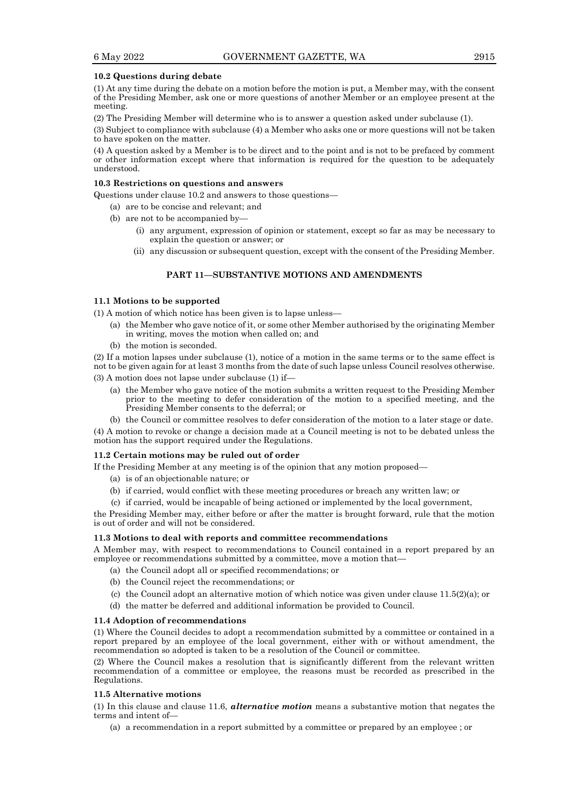#### **10.2 Questions during debate**

(1) At any time during the debate on a motion before the motion is put, a Member may, with the consent of the Presiding Member, ask one or more questions of another Member or an employee present at the meeting.

(2) The Presiding Member will determine who is to answer a question asked under subclause (1).

(3) Subject to compliance with subclause (4) a Member who asks one or more questions will not be taken to have spoken on the matter.

(4) A question asked by a Member is to be direct and to the point and is not to be prefaced by comment or other information except where that information is required for the question to be adequately understood.

#### **10.3 Restrictions on questions and answers**

Questions under clause 10.2 and answers to those questions—

- (a) are to be concise and relevant; and
- (b) are not to be accompanied by—
	- (i) any argument, expression of opinion or statement, except so far as may be necessary to explain the question or answer; or
	- (ii) any discussion or subsequent question, except with the consent of the Presiding Member.

## **PART 11—SUBSTANTIVE MOTIONS AND AMENDMENTS**

#### **11.1 Motions to be supported**

(1) A motion of which notice has been given is to lapse unless—

- (a) the Member who gave notice of it, or some other Member authorised by the originating Member in writing, moves the motion when called on; and
- (b) the motion is seconded.

(2) If a motion lapses under subclause (1), notice of a motion in the same terms or to the same effect is not to be given again for at least 3 months from the date of such lapse unless Council resolves otherwise. (3) A motion does not lapse under subclause (1) if—

- (a) the Member who gave notice of the motion submits a written request to the Presiding Member prior to the meeting to defer consideration of the motion to a specified meeting, and the Presiding Member consents to the deferral; or
- (b) the Council or committee resolves to defer consideration of the motion to a later stage or date.

(4) A motion to revoke or change a decision made at a Council meeting is not to be debated unless the motion has the support required under the Regulations.

#### **11.2 Certain motions may be ruled out of order**

If the Presiding Member at any meeting is of the opinion that any motion proposed—

- (a) is of an objectionable nature; or
- (b) if carried, would conflict with these meeting procedures or breach any written law; or
- (c) if carried, would be incapable of being actioned or implemented by the local government,

the Presiding Member may, either before or after the matter is brought forward, rule that the motion is out of order and will not be considered.

#### **11.3 Motions to deal with reports and committee recommendations**

A Member may, with respect to recommendations to Council contained in a report prepared by an employee or recommendations submitted by a committee, move a motion that—

- (a) the Council adopt all or specified recommendations; or
- (b) the Council reject the recommendations; or
- (c) the Council adopt an alternative motion of which notice was given under clause  $11.5(2)(a)$ ; or
- (d) the matter be deferred and additional information be provided to Council.

#### **11.4 Adoption of recommendations**

(1) Where the Council decides to adopt a recommendation submitted by a committee or contained in a report prepared by an employee of the local government, either with or without amendment, the recommendation so adopted is taken to be a resolution of the Council or committee.

(2) Where the Council makes a resolution that is significantly different from the relevant written recommendation of a committee or employee, the reasons must be recorded as prescribed in the Regulations.

#### **11.5 Alternative motions**

(1) In this clause and clause 11.6, *alternative motion* means a substantive motion that negates the terms and intent of—

(a) a recommendation in a report submitted by a committee or prepared by an employee ; or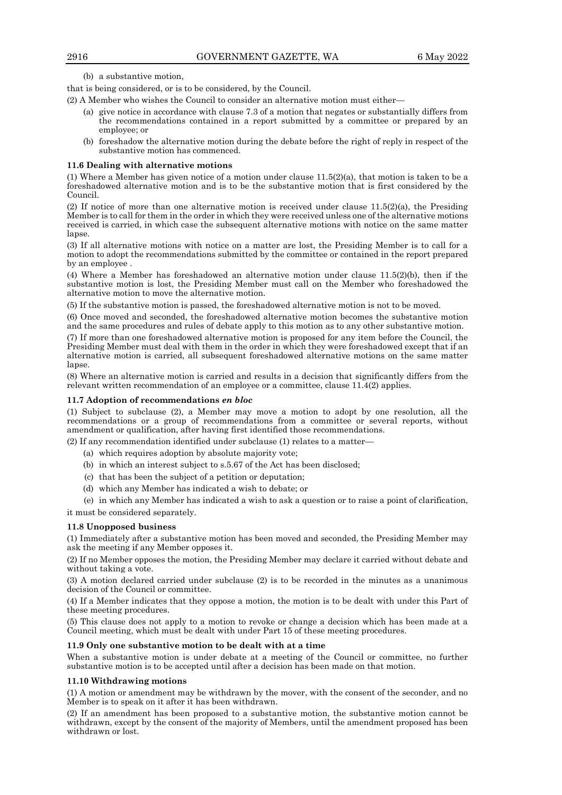(b) a substantive motion,

that is being considered, or is to be considered, by the Council.

(2) A Member who wishes the Council to consider an alternative motion must either—

- (a) give notice in accordance with clause 7.3 of a motion that negates or substantially differs from the recommendations contained in a report submitted by a committee or prepared by an employee; or
- (b) foreshadow the alternative motion during the debate before the right of reply in respect of the substantive motion has commenced.

#### **11.6 Dealing with alternative motions**

(1) Where a Member has given notice of a motion under clause  $11.5(2)(a)$ , that motion is taken to be a foreshadowed alternative motion and is to be the substantive motion that is first considered by the Council.

(2) If notice of more than one alternative motion is received under clause 11.5(2)(a), the Presiding Member is to call for them in the order in which they were received unless one of the alternative motions received is carried, in which case the subsequent alternative motions with notice on the same matter lapse.

(3) If all alternative motions with notice on a matter are lost, the Presiding Member is to call for a motion to adopt the recommendations submitted by the committee or contained in the report prepared by an employee .

(4) Where a Member has foreshadowed an alternative motion under clause  $11.5(2)(b)$ , then if the substantive motion is lost, the Presiding Member must call on the Member who foreshadowed the alternative motion to move the alternative motion.

(5) If the substantive motion is passed, the foreshadowed alternative motion is not to be moved.

(6) Once moved and seconded, the foreshadowed alternative motion becomes the substantive motion and the same procedures and rules of debate apply to this motion as to any other substantive motion.

(7) If more than one foreshadowed alternative motion is proposed for any item before the Council, the Presiding Member must deal with them in the order in which they were foreshadowed except that if an alternative motion is carried, all subsequent foreshadowed alternative motions on the same matter lapse.

(8) Where an alternative motion is carried and results in a decision that significantly differs from the relevant written recommendation of an employee or a committee, clause 11.4(2) applies.

#### **11.7 Adoption of recommendations** *en bloc*

(1) Subject to subclause (2), a Member may move a motion to adopt by one resolution, all the recommendations or a group of recommendations from a committee or several reports, without amendment or qualification, after having first identified those recommendations.

(2) If any recommendation identified under subclause (1) relates to a matter—

- (a) which requires adoption by absolute majority vote;
- (b) in which an interest subject to s.5.67 of the Act has been disclosed;
- (c) that has been the subject of a petition or deputation;
- (d) which any Member has indicated a wish to debate; or
- (e) in which any Member has indicated a wish to ask a question or to raise a point of clarification,

it must be considered separately.

#### **11.8 Unopposed business**

(1) Immediately after a substantive motion has been moved and seconded, the Presiding Member may ask the meeting if any Member opposes it.

(2) If no Member opposes the motion, the Presiding Member may declare it carried without debate and without taking a vote.

(3) A motion declared carried under subclause (2) is to be recorded in the minutes as a unanimous decision of the Council or committee.

(4) If a Member indicates that they oppose a motion, the motion is to be dealt with under this Part of these meeting procedures.

(5) This clause does not apply to a motion to revoke or change a decision which has been made at a Council meeting, which must be dealt with under Part 15 of these meeting procedures.

#### **11.9 Only one substantive motion to be dealt with at a time**

When a substantive motion is under debate at a meeting of the Council or committee, no further substantive motion is to be accepted until after a decision has been made on that motion.

#### **11.10 Withdrawing motions**

(1) A motion or amendment may be withdrawn by the mover, with the consent of the seconder, and no Member is to speak on it after it has been withdrawn.

(2) If an amendment has been proposed to a substantive motion, the substantive motion cannot be withdrawn, except by the consent of the majority of Members, until the amendment proposed has been withdrawn or lost.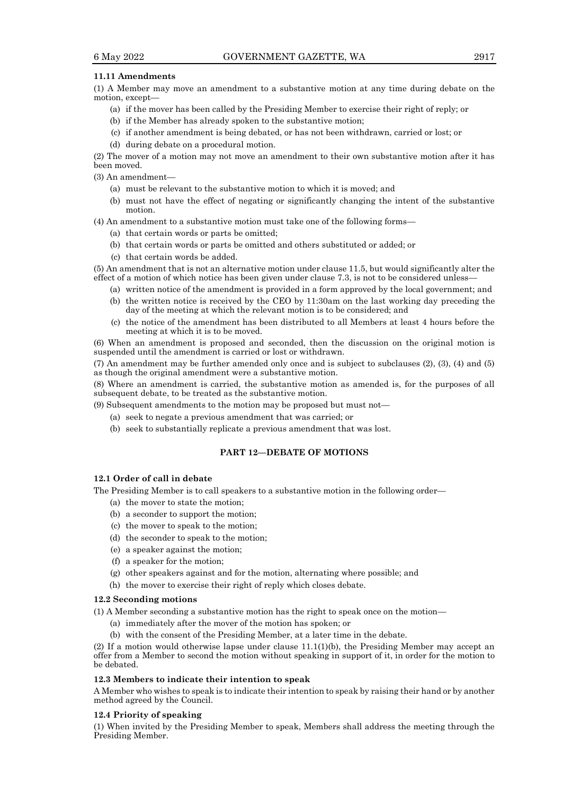#### **11.11 Amendments**

(1) A Member may move an amendment to a substantive motion at any time during debate on the motion, except—

- (a) if the mover has been called by the Presiding Member to exercise their right of reply; or
- (b) if the Member has already spoken to the substantive motion;
- (c) if another amendment is being debated, or has not been withdrawn, carried or lost; or
- (d) during debate on a procedural motion.

(2) The mover of a motion may not move an amendment to their own substantive motion after it has been moved.

(3) An amendment—

- (a) must be relevant to the substantive motion to which it is moved; and
- (b) must not have the effect of negating or significantly changing the intent of the substantive motion.

(4) An amendment to a substantive motion must take one of the following forms—

- (a) that certain words or parts be omitted;
- (b) that certain words or parts be omitted and others substituted or added; or
- (c) that certain words be added.

(5) An amendment that is not an alternative motion under clause 11.5, but would significantly alter the effect of a motion of which notice has been given under clause 7.3, is not to be considered unless—

- (a) written notice of the amendment is provided in a form approved by the local government; and
- (b) the written notice is received by the CEO by 11:30am on the last working day preceding the day of the meeting at which the relevant motion is to be considered; and
- (c) the notice of the amendment has been distributed to all Members at least 4 hours before the meeting at which it is to be moved.

(6) When an amendment is proposed and seconded, then the discussion on the original motion is suspended until the amendment is carried or lost or withdrawn.

(7) An amendment may be further amended only once and is subject to subclauses (2), (3), (4) and (5) as though the original amendment were a substantive motion.

(8) Where an amendment is carried, the substantive motion as amended is, for the purposes of all subsequent debate, to be treated as the substantive motion.

(9) Subsequent amendments to the motion may be proposed but must not—

- (a) seek to negate a previous amendment that was carried; or
- (b) seek to substantially replicate a previous amendment that was lost.

## **PART 12—DEBATE OF MOTIONS**

## **12.1 Order of call in debate**

The Presiding Member is to call speakers to a substantive motion in the following order—

- (a) the mover to state the motion;
- (b) a seconder to support the motion;
- (c) the mover to speak to the motion;
- (d) the seconder to speak to the motion;
- (e) a speaker against the motion;
- (f) a speaker for the motion;
- (g) other speakers against and for the motion, alternating where possible; and
- (h) the mover to exercise their right of reply which closes debate.

## **12.2 Seconding motions**

(1) A Member seconding a substantive motion has the right to speak once on the motion—

- (a) immediately after the mover of the motion has spoken; or
- (b) with the consent of the Presiding Member, at a later time in the debate.

(2) If a motion would otherwise lapse under clause 11.1(1)(b), the Presiding Member may accept an offer from a Member to second the motion without speaking in support of it, in order for the motion to be debated.

#### **12.3 Members to indicate their intention to speak**

A Member who wishes to speak is to indicate their intention to speak by raising their hand or by another method agreed by the Council.

#### **12.4 Priority of speaking**

(1) When invited by the Presiding Member to speak, Members shall address the meeting through the Presiding Member.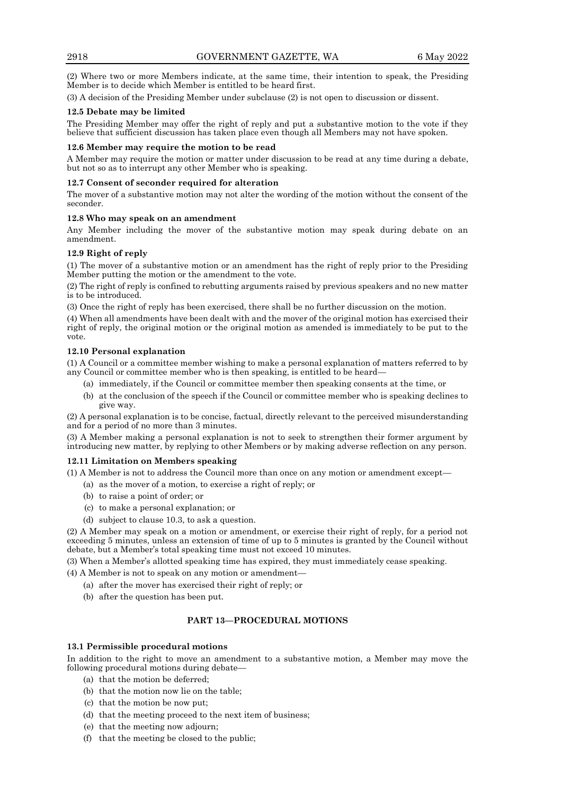(2) Where two or more Members indicate, at the same time, their intention to speak, the Presiding Member is to decide which Member is entitled to be heard first.

(3) A decision of the Presiding Member under subclause (2) is not open to discussion or dissent.

## **12.5 Debate may be limited**

The Presiding Member may offer the right of reply and put a substantive motion to the vote if they believe that sufficient discussion has taken place even though all Members may not have spoken.

## **12.6 Member may require the motion to be read**

A Member may require the motion or matter under discussion to be read at any time during a debate, but not so as to interrupt any other Member who is speaking.

## **12.7 Consent of seconder required for alteration**

The mover of a substantive motion may not alter the wording of the motion without the consent of the seconder.

## **12.8 Who may speak on an amendment**

Any Member including the mover of the substantive motion may speak during debate on an amendment.

## **12.9 Right of reply**

(1) The mover of a substantive motion or an amendment has the right of reply prior to the Presiding Member putting the motion or the amendment to the vote.

(2) The right of reply is confined to rebutting arguments raised by previous speakers and no new matter is to be introduced.

(3) Once the right of reply has been exercised, there shall be no further discussion on the motion.

(4) When all amendments have been dealt with and the mover of the original motion has exercised their right of reply, the original motion or the original motion as amended is immediately to be put to the vote.

## **12.10 Personal explanation**

(1) A Council or a committee member wishing to make a personal explanation of matters referred to by any Council or committee member who is then speaking, is entitled to be heard—

- (a) immediately, if the Council or committee member then speaking consents at the time, or
- (b) at the conclusion of the speech if the Council or committee member who is speaking declines to give way.

(2) A personal explanation is to be concise, factual, directly relevant to the perceived misunderstanding and for a period of no more than 3 minutes.

(3) A Member making a personal explanation is not to seek to strengthen their former argument by introducing new matter, by replying to other Members or by making adverse reflection on any person.

## **12.11 Limitation on Members speaking**

(1) A Member is not to address the Council more than once on any motion or amendment except—

- (a) as the mover of a motion, to exercise a right of reply; or
- (b) to raise a point of order; or
- (c) to make a personal explanation; or
- (d) subject to clause 10.3, to ask a question.

(2) A Member may speak on a motion or amendment, or exercise their right of reply, for a period not exceeding 5 minutes, unless an extension of time of up to 5 minutes is granted by the Council without debate, but a Member's total speaking time must not exceed 10 minutes.

(3) When a Member's allotted speaking time has expired, they must immediately cease speaking.

- (4) A Member is not to speak on any motion or amendment—
	- (a) after the mover has exercised their right of reply; or
	- (b) after the question has been put.

## **PART 13—PROCEDURAL MOTIONS**

## **13.1 Permissible procedural motions**

In addition to the right to move an amendment to a substantive motion, a Member may move the following procedural motions during debate—

- (a) that the motion be deferred;
- (b) that the motion now lie on the table;
- (c) that the motion be now put;
- (d) that the meeting proceed to the next item of business;
- (e) that the meeting now adjourn;
- (f) that the meeting be closed to the public;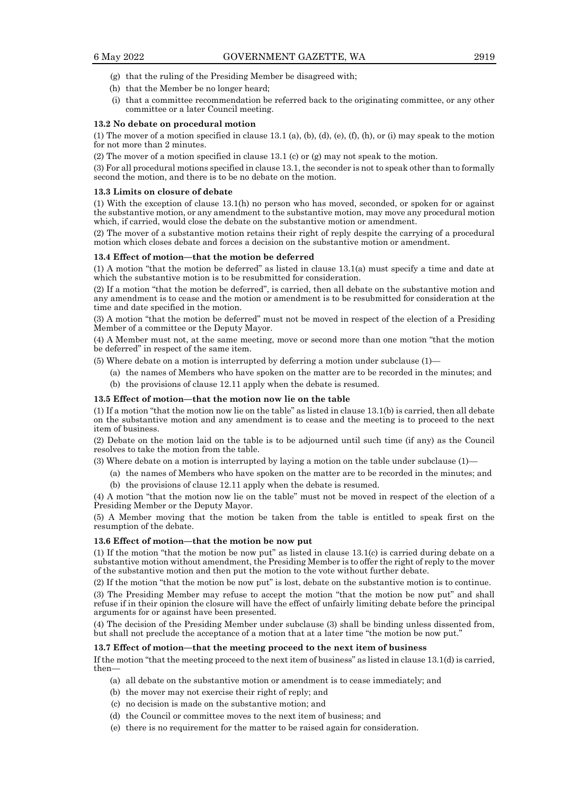- (g) that the ruling of the Presiding Member be disagreed with;
- (h) that the Member be no longer heard;
- (i) that a committee recommendation be referred back to the originating committee, or any other committee or a later Council meeting.

#### **13.2 No debate on procedural motion**

(1) The mover of a motion specified in clause 13.1 (a), (b), (d), (e), (f), (h), or (i) may speak to the motion for not more than 2 minutes.

(2) The mover of a motion specified in clause 13.1 (c) or (g) may not speak to the motion.

(3) For all procedural motions specified in clause 13.1, the seconder is not to speak other than to formally second the motion, and there is to be no debate on the motion.

#### **13.3 Limits on closure of debate**

(1) With the exception of clause 13.1(h) no person who has moved, seconded, or spoken for or against the substantive motion, or any amendment to the substantive motion, may move any procedural motion which, if carried, would close the debate on the substantive motion or amendment.

(2) The mover of a substantive motion retains their right of reply despite the carrying of a procedural motion which closes debate and forces a decision on the substantive motion or amendment.

#### **13.4 Effect of motion—that the motion be deferred**

(1) A motion "that the motion be deferred" as listed in clause 13.1(a) must specify a time and date at which the substantive motion is to be resubmitted for consideration.

(2) If a motion "that the motion be deferred", is carried, then all debate on the substantive motion and any amendment is to cease and the motion or amendment is to be resubmitted for consideration at the time and date specified in the motion.

(3) A motion "that the motion be deferred" must not be moved in respect of the election of a Presiding Member of a committee or the Deputy Mayor.

(4) A Member must not, at the same meeting, move or second more than one motion "that the motion be deferred" in respect of the same item.

- (5) Where debate on a motion is interrupted by deferring a motion under subclause (1)—
	- (a) the names of Members who have spoken on the matter are to be recorded in the minutes; and (b) the provisions of clause 12.11 apply when the debate is resumed.

# **13.5 Effect of motion—that the motion now lie on the table**

(1) If a motion "that the motion now lie on the table" as listed in clause 13.1(b) is carried, then all debate on the substantive motion and any amendment is to cease and the meeting is to proceed to the next item of business.

(2) Debate on the motion laid on the table is to be adjourned until such time (if any) as the Council resolves to take the motion from the table.

- (3) Where debate on a motion is interrupted by laying a motion on the table under subclause (1)—
	- (a) the names of Members who have spoken on the matter are to be recorded in the minutes; and (b) the provisions of clause 12.11 apply when the debate is resumed.

(4) A motion "that the motion now lie on the table" must not be moved in respect of the election of a Presiding Member or the Deputy Mayor.

(5) A Member moving that the motion be taken from the table is entitled to speak first on the resumption of the debate.

#### **13.6 Effect of motion—that the motion be now put**

(1) If the motion "that the motion be now put" as listed in clause 13.1(c) is carried during debate on a substantive motion without amendment, the Presiding Member is to offer the right of reply to the mover of the substantive motion and then put the motion to the vote without further debate.

(2) If the motion "that the motion be now put" is lost, debate on the substantive motion is to continue.

(3) The Presiding Member may refuse to accept the motion "that the motion be now put" and shall refuse if in their opinion the closure will have the effect of unfairly limiting debate before the principal arguments for or against have been presented.

(4) The decision of the Presiding Member under subclause (3) shall be binding unless dissented from, but shall not preclude the acceptance of a motion that at a later time "the motion be now put."

#### **13.7 Effect of motion—that the meeting proceed to the next item of business**

If the motion "that the meeting proceed to the next item of business" as listed in clause 13.1(d) is carried, then—

- (a) all debate on the substantive motion or amendment is to cease immediately; and
- (b) the mover may not exercise their right of reply; and
- (c) no decision is made on the substantive motion; and
- (d) the Council or committee moves to the next item of business; and
- (e) there is no requirement for the matter to be raised again for consideration.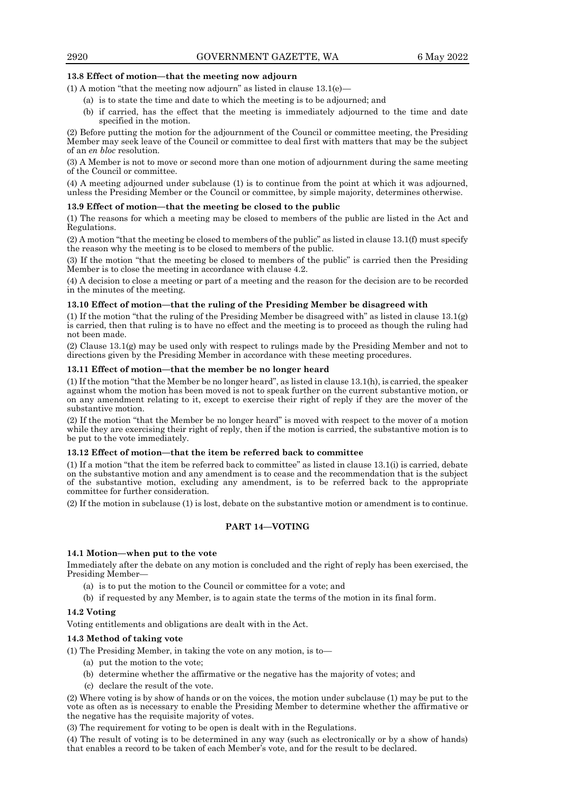## **13.8 Effect of motion—that the meeting now adjourn**

(1) A motion "that the meeting now adjourn" as listed in clause  $13.1(e)$ —

- (a) is to state the time and date to which the meeting is to be adjourned; and
- (b) if carried, has the effect that the meeting is immediately adjourned to the time and date specified in the motion.

(2) Before putting the motion for the adjournment of the Council or committee meeting, the Presiding Member may seek leave of the Council or committee to deal first with matters that may be the subject of an *en bloc* resolution.

(3) A Member is not to move or second more than one motion of adjournment during the same meeting of the Council or committee.

(4) A meeting adjourned under subclause (1) is to continue from the point at which it was adjourned, unless the Presiding Member or the Council or committee, by simple majority, determines otherwise.

#### **13.9 Effect of motion—that the meeting be closed to the public**

(1) The reasons for which a meeting may be closed to members of the public are listed in the Act and Regulations.

(2) A motion "that the meeting be closed to members of the public" as listed in clause 13.1(f) must specify the reason why the meeting is to be closed to members of the public.

(3) If the motion "that the meeting be closed to members of the public" is carried then the Presiding Member is to close the meeting in accordance with clause 4.2.

(4) A decision to close a meeting or part of a meeting and the reason for the decision are to be recorded in the minutes of the meeting.

## **13.10 Effect of motion—that the ruling of the Presiding Member be disagreed with**

(1) If the motion "that the ruling of the Presiding Member be disagreed with" as listed in clause 13.1(g) is carried, then that ruling is to have no effect and the meeting is to proceed as though the ruling had not been made.

(2) Clause 13.1(g) may be used only with respect to rulings made by the Presiding Member and not to directions given by the Presiding Member in accordance with these meeting procedures.

### **13.11 Effect of motion—that the member be no longer heard**

(1) If the motion "that the Member be no longer heard", as listed in clause 13.1(h), is carried, the speaker against whom the motion has been moved is not to speak further on the current substantive motion, or on any amendment relating to it, except to exercise their right of reply if they are the mover of the substantive motion.

(2) If the motion "that the Member be no longer heard" is moved with respect to the mover of a motion while they are exercising their right of reply, then if the motion is carried, the substantive motion is to be put to the vote immediately.

#### **13.12 Effect of motion—that the item be referred back to committee**

(1) If a motion "that the item be referred back to committee" as listed in clause 13.1(i) is carried, debate on the substantive motion and any amendment is to cease and the recommendation that is the subject of the substantive motion, excluding any amendment, is to be referred back to the appropriate committee for further consideration.

(2) If the motion in subclause (1) is lost, debate on the substantive motion or amendment is to continue.

## **PART 14—VOTING**

#### **14.1 Motion—when put to the vote**

Immediately after the debate on any motion is concluded and the right of reply has been exercised, the Presiding Member—

- (a) is to put the motion to the Council or committee for a vote; and
- (b) if requested by any Member, is to again state the terms of the motion in its final form.

## **14.2 Voting**

Voting entitlements and obligations are dealt with in the Act.

## **14.3 Method of taking vote**

(1) The Presiding Member, in taking the vote on any motion, is to—

- (a) put the motion to the vote;
- (b) determine whether the affirmative or the negative has the majority of votes; and
- (c) declare the result of the vote.

(2) Where voting is by show of hands or on the voices, the motion under subclause (1) may be put to the vote as often as is necessary to enable the Presiding Member to determine whether the affirmative or the negative has the requisite majority of votes.

(3) The requirement for voting to be open is dealt with in the Regulations.

(4) The result of voting is to be determined in any way (such as electronically or by a show of hands) that enables a record to be taken of each Member's vote, and for the result to be declared.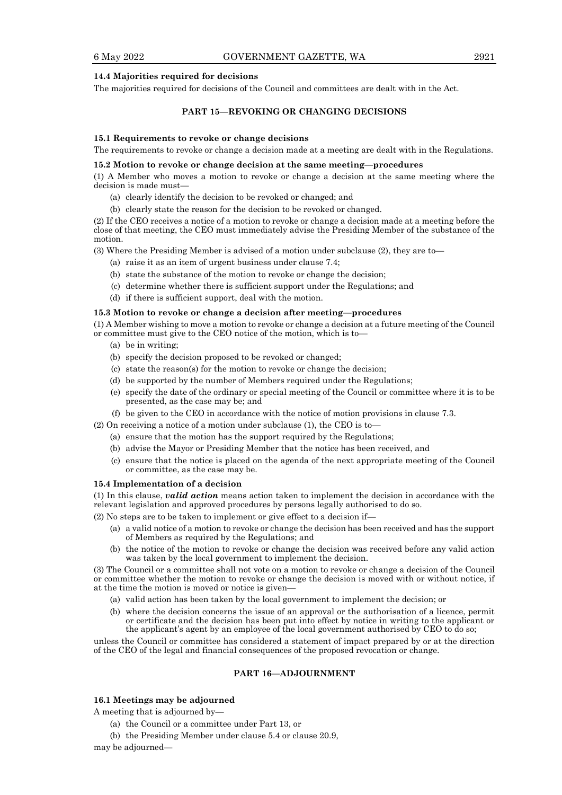#### **14.4 Majorities required for decisions**

The majorities required for decisions of the Council and committees are dealt with in the Act.

## **PART 15—REVOKING OR CHANGING DECISIONS**

#### **15.1 Requirements to revoke or change decisions**

The requirements to revoke or change a decision made at a meeting are dealt with in the Regulations.

#### **15.2 Motion to revoke or change decision at the same meeting—procedures**

(1) A Member who moves a motion to revoke or change a decision at the same meeting where the decision is made must—

- (a) clearly identify the decision to be revoked or changed; and
- (b) clearly state the reason for the decision to be revoked or changed.

(2) If the CEO receives a notice of a motion to revoke or change a decision made at a meeting before the close of that meeting, the CEO must immediately advise the Presiding Member of the substance of the motion.

(3) Where the Presiding Member is advised of a motion under subclause (2), they are to—

- (a) raise it as an item of urgent business under clause 7.4;
- (b) state the substance of the motion to revoke or change the decision;
- (c) determine whether there is sufficient support under the Regulations; and
- (d) if there is sufficient support, deal with the motion.

#### **15.3 Motion to revoke or change a decision after meeting—procedures**

(1) A Member wishing to move a motion to revoke or change a decision at a future meeting of the Council or committee must give to the CEO notice of the motion, which is to—

- (a) be in writing;
- (b) specify the decision proposed to be revoked or changed;
- (c) state the reason(s) for the motion to revoke or change the decision;
- (d) be supported by the number of Members required under the Regulations;
- (e) specify the date of the ordinary or special meeting of the Council or committee where it is to be presented, as the case may be; and
- (f) be given to the CEO in accordance with the notice of motion provisions in clause 7.3.

(2) On receiving a notice of a motion under subclause (1), the CEO is to—

- (a) ensure that the motion has the support required by the Regulations;
- (b) advise the Mayor or Presiding Member that the notice has been received, and
- (c) ensure that the notice is placed on the agenda of the next appropriate meeting of the Council or committee, as the case may be.

#### **15.4 Implementation of a decision**

(1) In this clause, *valid action* means action taken to implement the decision in accordance with the relevant legislation and approved procedures by persons legally authorised to do so.

(2) No steps are to be taken to implement or give effect to a decision if—

- (a) a valid notice of a motion to revoke or change the decision has been received and has the support of Members as required by the Regulations; and
- (b) the notice of the motion to revoke or change the decision was received before any valid action was taken by the local government to implement the decision.

(3) The Council or a committee shall not vote on a motion to revoke or change a decision of the Council or committee whether the motion to revoke or change the decision is moved with or without notice, if at the time the motion is moved or notice is given—

- (a) valid action has been taken by the local government to implement the decision; or
- (b) where the decision concerns the issue of an approval or the authorisation of a licence, permit or certificate and the decision has been put into effect by notice in writing to the applicant or the applicant's agent by an employee of the local government authorised by CEO to do so;

unless the Council or committee has considered a statement of impact prepared by or at the direction of the CEO of the legal and financial consequences of the proposed revocation or change.

#### **PART 16—ADJOURNMENT**

## **16.1 Meetings may be adjourned**

A meeting that is adjourned by—

- (a) the Council or a committee under Part 13, or
- (b) the Presiding Member under clause 5.4 or clause 20.9,

may be adjourned—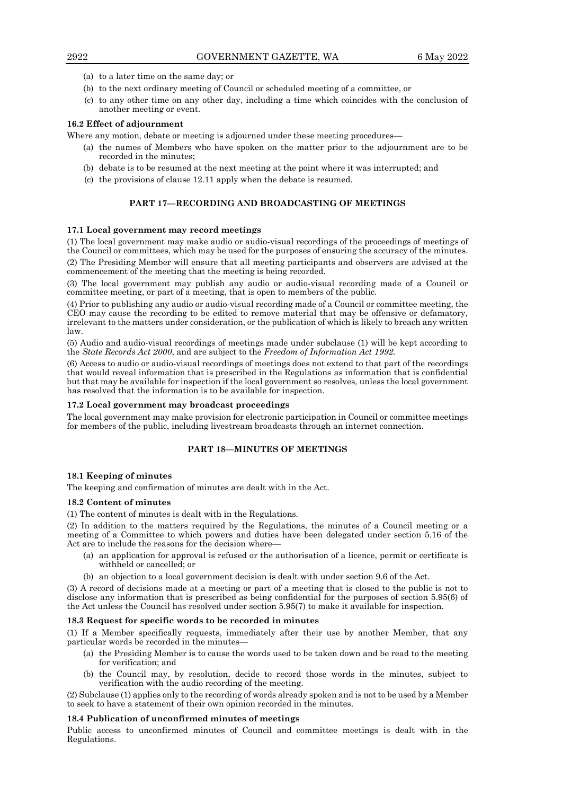- (a) to a later time on the same day; or
- (b) to the next ordinary meeting of Council or scheduled meeting of a committee, or
- (c) to any other time on any other day, including a time which coincides with the conclusion of another meeting or event.

## **16.2 Effect of adjournment**

Where any motion, debate or meeting is adjourned under these meeting procedures—

- (a) the names of Members who have spoken on the matter prior to the adjournment are to be recorded in the minutes;
- (b) debate is to be resumed at the next meeting at the point where it was interrupted; and
- (c) the provisions of clause 12.11 apply when the debate is resumed.

## **PART 17—RECORDING AND BROADCASTING OF MEETINGS**

## **17.1 Local government may record meetings**

(1) The local government may make audio or audio-visual recordings of the proceedings of meetings of the Council or committees, which may be used for the purposes of ensuring the accuracy of the minutes. (2) The Presiding Member will ensure that all meeting participants and observers are advised at the commencement of the meeting that the meeting is being recorded.

(3) The local government may publish any audio or audio-visual recording made of a Council or committee meeting, or part of a meeting, that is open to members of the public.

(4) Prior to publishing any audio or audio-visual recording made of a Council or committee meeting, the CEO may cause the recording to be edited to remove material that may be offensive or defamatory, irrelevant to the matters under consideration, or the publication of which is likely to breach any written law.

(5) Audio and audio-visual recordings of meetings made under subclause (1) will be kept according to the *State Records Act 2000*, and are subject to the *Freedom of Information Act 1992.*

(6) Access to audio or audio-visual recordings of meetings does not extend to that part of the recordings that would reveal information that is prescribed in the Regulations as information that is confidential but that may be available for inspection if the local government so resolves, unless the local government has resolved that the information is to be available for inspection.

#### **17.2 Local government may broadcast proceedings**

The local government may make provision for electronic participation in Council or committee meetings for members of the public, including livestream broadcasts through an internet connection.

## **PART 18—MINUTES OF MEETINGS**

#### **18.1 Keeping of minutes**

The keeping and confirmation of minutes are dealt with in the Act.

#### **18.2 Content of minutes**

(1) The content of minutes is dealt with in the Regulations.

(2) In addition to the matters required by the Regulations, the minutes of a Council meeting or a meeting of a Committee to which powers and duties have been delegated under section 5.16 of the Act are to include the reasons for the decision where—

- (a) an application for approval is refused or the authorisation of a licence, permit or certificate is withheld or cancelled; or
- (b) an objection to a local government decision is dealt with under section 9.6 of the Act.

(3) A record of decisions made at a meeting or part of a meeting that is closed to the public is not to disclose any information that is prescribed as being confidential for the purposes of section 5.95(6) of the Act unless the Council has resolved under section 5.95(7) to make it available for inspection.

## **18.3 Request for specific words to be recorded in minutes**

(1) If a Member specifically requests, immediately after their use by another Member, that any particular words be recorded in the minutes—

- (a) the Presiding Member is to cause the words used to be taken down and be read to the meeting for verification; and
- (b) the Council may, by resolution, decide to record those words in the minutes, subject to verification with the audio recording of the meeting.

(2) Subclause (1) applies only to the recording of words already spoken and is not to be used by a Member to seek to have a statement of their own opinion recorded in the minutes.

## **18.4 Publication of unconfirmed minutes of meetings**

Public access to unconfirmed minutes of Council and committee meetings is dealt with in the Regulations.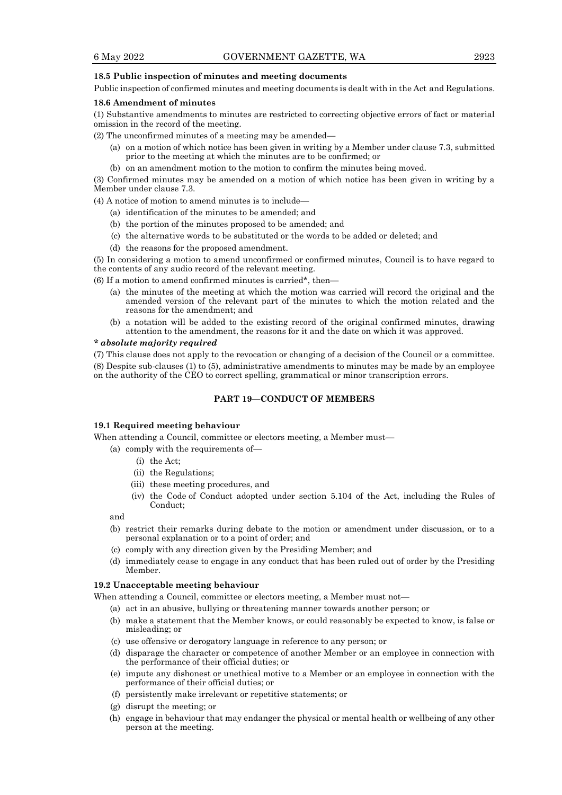#### **18.5 Public inspection of minutes and meeting documents**

Public inspection of confirmed minutes and meeting documents is dealt with in the Act and Regulations.

#### **18.6 Amendment of minutes**

(1) Substantive amendments to minutes are restricted to correcting objective errors of fact or material omission in the record of the meeting.

(2) The unconfirmed minutes of a meeting may be amended—

- (a) on a motion of which notice has been given in writing by a Member under clause 7.3, submitted prior to the meeting at which the minutes are to be confirmed; or
- (b) on an amendment motion to the motion to confirm the minutes being moved.

(3) Confirmed minutes may be amended on a motion of which notice has been given in writing by a Member under clause 7.3.

(4) A notice of motion to amend minutes is to include—

- (a) identification of the minutes to be amended; and
- (b) the portion of the minutes proposed to be amended; and
- (c) the alternative words to be substituted or the words to be added or deleted; and
- (d) the reasons for the proposed amendment.

(5) In considering a motion to amend unconfirmed or confirmed minutes, Council is to have regard to the contents of any audio record of the relevant meeting.

(6) If a motion to amend confirmed minutes is carried\*, then—

- (a) the minutes of the meeting at which the motion was carried will record the original and the amended version of the relevant part of the minutes to which the motion related and the reasons for the amendment; and
- (b) a notation will be added to the existing record of the original confirmed minutes, drawing attention to the amendment, the reasons for it and the date on which it was approved.

#### *\* absolute majority required*

(7) This clause does not apply to the revocation or changing of a decision of the Council or a committee. (8) Despite sub-clauses (1) to (5), administrative amendments to minutes may be made by an employee on the authority of the CEO to correct spelling, grammatical or minor transcription errors.

## **PART 19—CONDUCT OF MEMBERS**

#### **19.1 Required meeting behaviour**

When attending a Council, committee or electors meeting, a Member must—

- (a) comply with the requirements of—
	- (i) the Act;
	- (ii) the Regulations;
	- (iii) these meeting procedures, and
	- (iv) the Code of Conduct adopted under section 5.104 of the Act, including the Rules of Conduct;

and

- (b) restrict their remarks during debate to the motion or amendment under discussion, or to a personal explanation or to a point of order; and
- (c) comply with any direction given by the Presiding Member; and
- (d) immediately cease to engage in any conduct that has been ruled out of order by the Presiding Member.

#### **19.2 Unacceptable meeting behaviour**

When attending a Council, committee or electors meeting, a Member must not—

(a) act in an abusive, bullying or threatening manner towards another person; or

- (b) make a statement that the Member knows, or could reasonably be expected to know, is false or misleading; or
- (c) use offensive or derogatory language in reference to any person; or
- (d) disparage the character or competence of another Member or an employee in connection with the performance of their official duties; or
- (e) impute any dishonest or unethical motive to a Member or an employee in connection with the performance of their official duties; or
- (f) persistently make irrelevant or repetitive statements; or
- (g) disrupt the meeting; or
- (h) engage in behaviour that may endanger the physical or mental health or wellbeing of any other person at the meeting.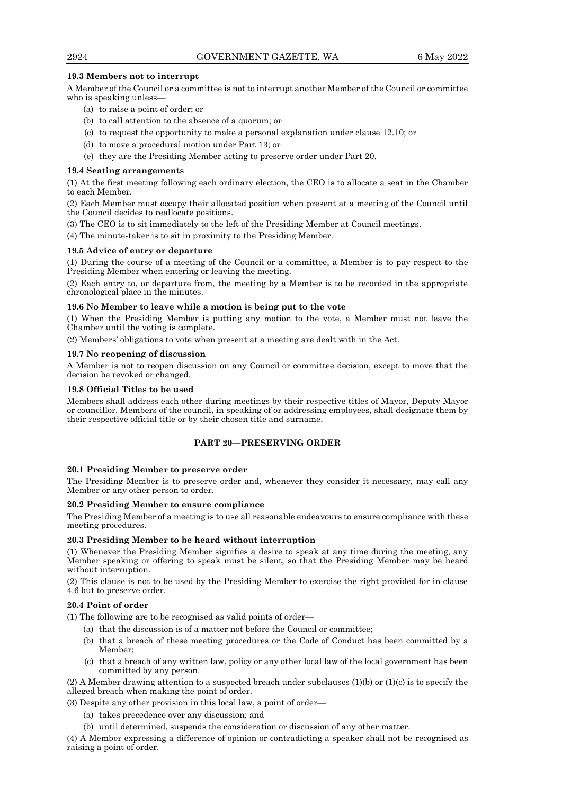## **19.3 Members not to interrupt**

A Member of the Council or a committee is not to interrupt another Member of the Council or committee who is speaking unless—

- (a) to raise a point of order; or
- (b) to call attention to the absence of a quorum; or
- (c) to request the opportunity to make a personal explanation under clause 12.10; or
- (d) to move a procedural motion under Part 13; or
- (e) they are the Presiding Member acting to preserve order under Part 20.

## **19.4 Seating arrangements**

(1) At the first meeting following each ordinary election, the CEO is to allocate a seat in the Chamber to each Member.

(2) Each Member must occupy their allocated position when present at a meeting of the Council until the Council decides to reallocate positions.

(3) The CEO is to sit immediately to the left of the Presiding Member at Council meetings.

(4) The minute-taker is to sit in proximity to the Presiding Member.

## **19.5 Advice of entry or departure**

(1) During the course of a meeting of the Council or a committee, a Member is to pay respect to the Presiding Member when entering or leaving the meeting.

(2) Each entry to, or departure from, the meeting by a Member is to be recorded in the appropriate chronological place in the minutes.

## **19.6 No Member to leave while a motion is being put to the vote**

(1) When the Presiding Member is putting any motion to the vote, a Member must not leave the Chamber until the voting is complete.

(2) Members' obligations to vote when present at a meeting are dealt with in the Act.

## **19.7 No reopening of discussion**

A Member is not to reopen discussion on any Council or committee decision, except to move that the decision be revoked or changed.

## **19.8 Official Titles to be used**

Members shall address each other during meetings by their respective titles of Mayor, Deputy Mayor or councillor. Members of the council, in speaking of or addressing employees, shall designate them by their respective official title or by their chosen title and surname.

## **PART 20—PRESERVING ORDER**

## **20.1 Presiding Member to preserve order**

The Presiding Member is to preserve order and, whenever they consider it necessary, may call any Member or any other person to order.

## **20.2 Presiding Member to ensure compliance**

The Presiding Member of a meeting is to use all reasonable endeavours to ensure compliance with these meeting procedures.

## **20.3 Presiding Member to be heard without interruption**

(1) Whenever the Presiding Member signifies a desire to speak at any time during the meeting, any Member speaking or offering to speak must be silent, so that the Presiding Member may be heard without interruption.

(2) This clause is not to be used by the Presiding Member to exercise the right provided for in clause 4.6 but to preserve order.

## **20.4 Point of order**

(1) The following are to be recognised as valid points of order—

- (a) that the discussion is of a matter not before the Council or committee;
- (b) that a breach of these meeting procedures or the Code of Conduct has been committed by a Member;
- (c) that a breach of any written law, policy or any other local law of the local government has been committed by any person.

(2) A Member drawing attention to a suspected breach under subclauses  $(1)(b)$  or  $(1)(c)$  is to specify the alleged breach when making the point of order.

(3) Despite any other provision in this local law, a point of order—

- (a) takes precedence over any discussion; and
- (b) until determined, suspends the consideration or discussion of any other matter.

(4) A Member expressing a difference of opinion or contradicting a speaker shall not be recognised as raising a point of order.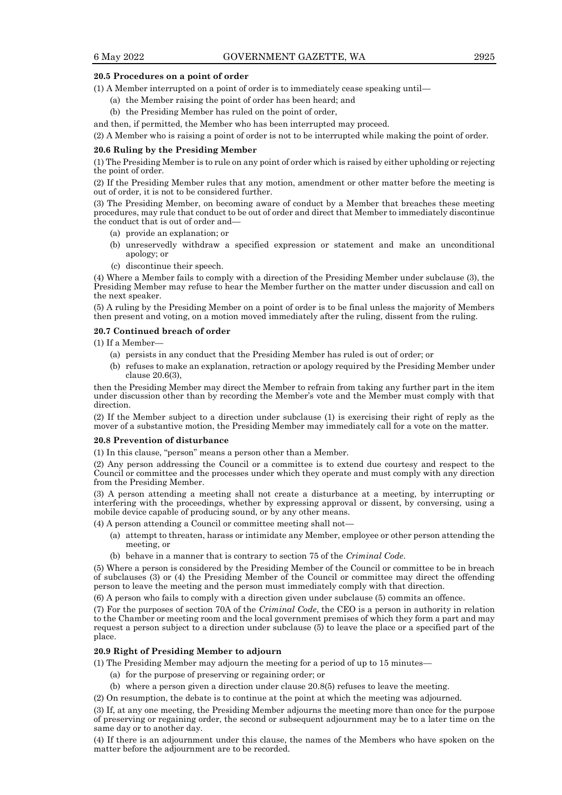#### **20.5 Procedures on a point of order**

(1) A Member interrupted on a point of order is to immediately cease speaking until—

- (a) the Member raising the point of order has been heard; and
- (b) the Presiding Member has ruled on the point of order,

and then, if permitted, the Member who has been interrupted may proceed.

(2) A Member who is raising a point of order is not to be interrupted while making the point of order.

## **20.6 Ruling by the Presiding Member**

(1) The Presiding Member is to rule on any point of order which is raised by either upholding or rejecting the point of order.

(2) If the Presiding Member rules that any motion, amendment or other matter before the meeting is out of order, it is not to be considered further.

(3) The Presiding Member, on becoming aware of conduct by a Member that breaches these meeting procedures, may rule that conduct to be out of order and direct that Member to immediately discontinue the conduct that is out of order and—

- (a) provide an explanation; or
- (b) unreservedly withdraw a specified expression or statement and make an unconditional apology; or
- (c) discontinue their speech.

(4) Where a Member fails to comply with a direction of the Presiding Member under subclause (3), the Presiding Member may refuse to hear the Member further on the matter under discussion and call on the next speaker.

(5) A ruling by the Presiding Member on a point of order is to be final unless the majority of Members then present and voting, on a motion moved immediately after the ruling, dissent from the ruling.

#### **20.7 Continued breach of order**

 $(1)$  If a Member-

- (a) persists in any conduct that the Presiding Member has ruled is out of order; or
- (b) refuses to make an explanation, retraction or apology required by the Presiding Member under clause 20.6(3),

then the Presiding Member may direct the Member to refrain from taking any further part in the item under discussion other than by recording the Member's vote and the Member must comply with that direction.

(2) If the Member subject to a direction under subclause (1) is exercising their right of reply as the mover of a substantive motion, the Presiding Member may immediately call for a vote on the matter.

#### **20.8 Prevention of disturbance**

(1) In this clause, "person" means a person other than a Member.

(2) Any person addressing the Council or a committee is to extend due courtesy and respect to the Council or committee and the processes under which they operate and must comply with any direction from the Presiding Member.

(3) A person attending a meeting shall not create a disturbance at a meeting, by interrupting or interfering with the proceedings, whether by expressing approval or dissent, by conversing, using a mobile device capable of producing sound, or by any other means.

(4) A person attending a Council or committee meeting shall not—

- (a) attempt to threaten, harass or intimidate any Member, employee or other person attending the meeting, or
- (b) behave in a manner that is contrary to section 75 of the *Criminal Code*.

(5) Where a person is considered by the Presiding Member of the Council or committee to be in breach of subclauses (3) or (4) the Presiding Member of the Council or committee may direct the offending person to leave the meeting and the person must immediately comply with that direction.

(6) A person who fails to comply with a direction given under subclause (5) commits an offence.

(7) For the purposes of section 70A of the *Criminal Code*, the CEO is a person in authority in relation to the Chamber or meeting room and the local government premises of which they form a part and may request a person subject to a direction under subclause (5) to leave the place or a specified part of the place.

#### **20.9 Right of Presiding Member to adjourn**

(1) The Presiding Member may adjourn the meeting for a period of up to 15 minutes—

- (a) for the purpose of preserving or regaining order; or
- (b) where a person given a direction under clause 20.8(5) refuses to leave the meeting.

(2) On resumption, the debate is to continue at the point at which the meeting was adjourned.

(3) If, at any one meeting, the Presiding Member adjourns the meeting more than once for the purpose of preserving or regaining order, the second or subsequent adjournment may be to a later time on the same day or to another day.

(4) If there is an adjournment under this clause, the names of the Members who have spoken on the matter before the adjournment are to be recorded.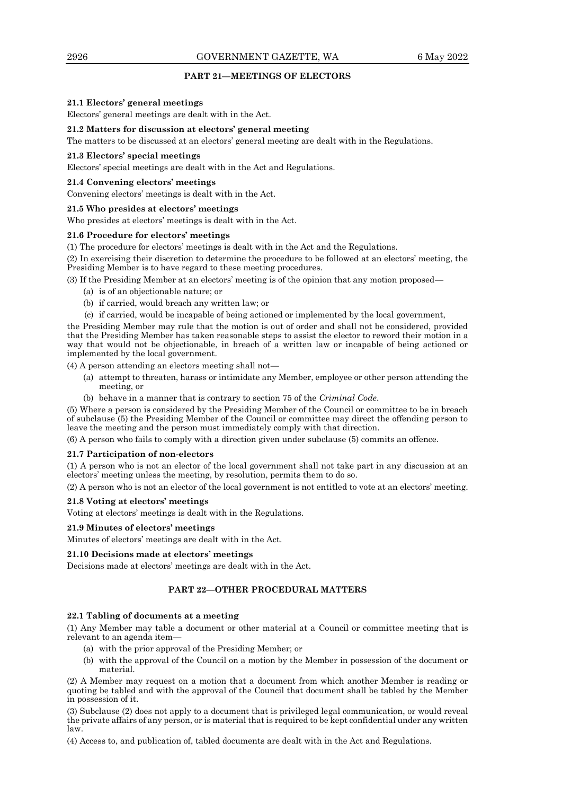## **PART 21—MEETINGS OF ELECTORS**

#### **21.1 Electors' general meetings**

Electors' general meetings are dealt with in the Act.

## **21.2 Matters for discussion at electors' general meeting**

The matters to be discussed at an electors' general meeting are dealt with in the Regulations.

#### **21.3 Electors' special meetings**

Electors' special meetings are dealt with in the Act and Regulations.

### **21.4 Convening electors' meetings**

Convening electors' meetings is dealt with in the Act.

#### **21.5 Who presides at electors' meetings**

Who presides at electors' meetings is dealt with in the Act.

#### **21.6 Procedure for electors' meetings**

(1) The procedure for electors' meetings is dealt with in the Act and the Regulations.

(2) In exercising their discretion to determine the procedure to be followed at an electors' meeting, the Presiding Member is to have regard to these meeting procedures.

(3) If the Presiding Member at an electors' meeting is of the opinion that any motion proposed—

- (a) is of an objectionable nature; or
- (b) if carried, would breach any written law; or
- (c) if carried, would be incapable of being actioned or implemented by the local government,

the Presiding Member may rule that the motion is out of order and shall not be considered, provided that the Presiding Member has taken reasonable steps to assist the elector to reword their motion in a way that would not be objectionable, in breach of a written law or incapable of being actioned or implemented by the local government.

(4) A person attending an electors meeting shall not—

- (a) attempt to threaten, harass or intimidate any Member, employee or other person attending the meeting, or
- (b) behave in a manner that is contrary to section 75 of the *Criminal Code*.

(5) Where a person is considered by the Presiding Member of the Council or committee to be in breach of subclause (5) the Presiding Member of the Council or committee may direct the offending person to leave the meeting and the person must immediately comply with that direction.

(6) A person who fails to comply with a direction given under subclause (5) commits an offence.

#### **21.7 Participation of non-electors**

(1) A person who is not an elector of the local government shall not take part in any discussion at an electors' meeting unless the meeting, by resolution, permits them to do so.

(2) A person who is not an elector of the local government is not entitled to vote at an electors' meeting.

## **21.8 Voting at electors' meetings**

Voting at electors' meetings is dealt with in the Regulations.

#### **21.9 Minutes of electors' meetings**

Minutes of electors' meetings are dealt with in the Act.

## **21.10 Decisions made at electors' meetings**

Decisions made at electors' meetings are dealt with in the Act.

## **PART 22—OTHER PROCEDURAL MATTERS**

#### **22.1 Tabling of documents at a meeting**

(1) Any Member may table a document or other material at a Council or committee meeting that is relevant to an agenda item—

- (a) with the prior approval of the Presiding Member; or
- (b) with the approval of the Council on a motion by the Member in possession of the document or material.

(2) A Member may request on a motion that a document from which another Member is reading or quoting be tabled and with the approval of the Council that document shall be tabled by the Member in possession of it.

(3) Subclause (2) does not apply to a document that is privileged legal communication, or would reveal the private affairs of any person, or is material that is required to be kept confidential under any written law.

(4) Access to, and publication of, tabled documents are dealt with in the Act and Regulations.